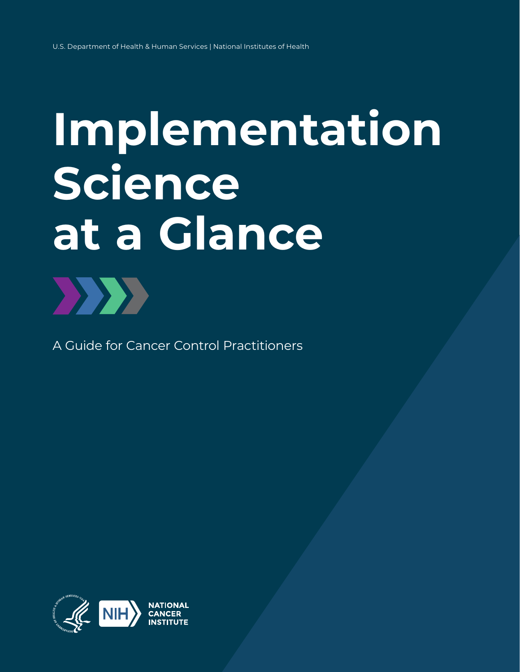# **Implementation Science at a Glance**



A Guide for Cancer Control Practitioners

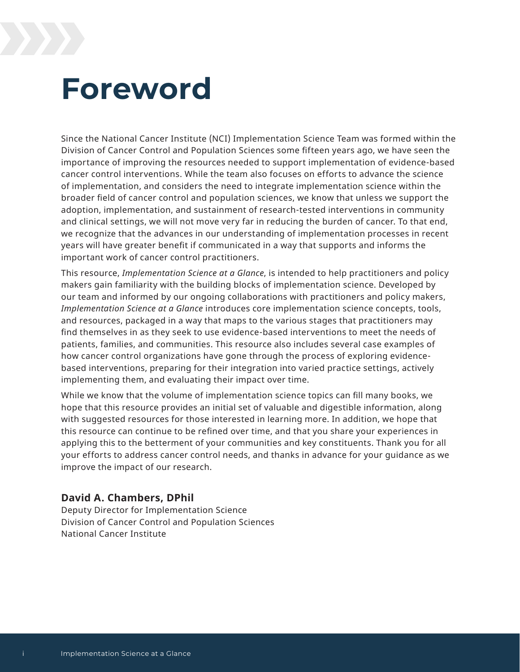<span id="page-1-0"></span>

# **Foreword**

Since the National Cancer Institute (NCI) Implementation Science Team was formed within the Division of Cancer Control and Population Sciences some fifteen years ago, we have seen the importance of improving the resources needed to support implementation of evidence-based cancer control interventions. While the team also focuses on efforts to advance the science of implementation, and considers the need to integrate implementation science within the broader field of cancer control and population sciences, we know that unless we support the adoption, implementation, and sustainment of research-tested interventions in community and clinical settings, we will not move very far in reducing the burden of cancer. To that end, we recognize that the advances in our understanding of implementation processes in recent years will have greater benefit if communicated in a way that supports and informs the important work of cancer control practitioners.

This resource, *Implementation Science at a Glance*, is intended to help practitioners and policy makers gain familiarity with the building blocks of implementation science. Developed by our team and informed by our ongoing collaborations with practitioners and policy makers, *Implementation Science at a Glance* introduces core implementation science concepts, tools, and resources, packaged in a way that maps to the various stages that practitioners may find themselves in as they seek to use evidence-based interventions to meet the needs of patients, families, and communities. This resource also includes several case examples of how cancer control organizations have gone through the process of exploring evidencebased interventions, preparing for their integration into varied practice settings, actively implementing them, and evaluating their impact over time.

While we know that the volume of implementation science topics can fill many books, we hope that this resource provides an initial set of valuable and digestible information, along with suggested resources for those interested in learning more. In addition, we hope that this resource can continue to be refined over time, and that you share your experiences in applying this to the betterment of your communities and key constituents. Thank you for all your efforts to address cancer control needs, and thanks in advance for your guidance as we improve the impact of our research.

#### **David A. Chambers, DPhil**

Deputy Director for Implementation Science Division of Cancer Control and Population Sciences National Cancer Institute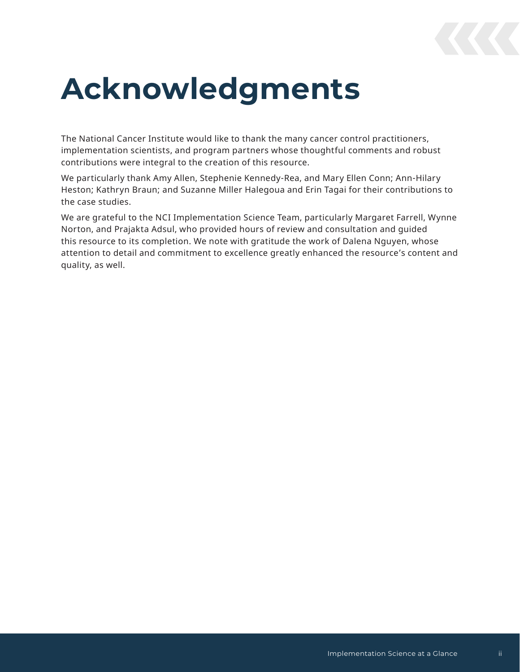

# <span id="page-2-0"></span>**Acknowledgments**

The National Cancer Institute would like to thank the many cancer control practitioners, implementation scientists, and program partners whose thoughtful comments and robust contributions were integral to the creation of this resource.

We particularly thank Amy Allen, Stephenie Kennedy-Rea, and Mary Ellen Conn; Ann-Hilary Heston; Kathryn Braun; and Suzanne Miller Halegoua and Erin Tagai for their contributions to the case studies.

We are grateful to the NCI Implementation Science Team, particularly Margaret Farrell, Wynne Norton, and Prajakta Adsul, who provided hours of review and consultation and guided this resource to its completion. We note with gratitude the work of Dalena Nguyen, whose attention to detail and commitment to excellence greatly enhanced the resource's content and quality, as well.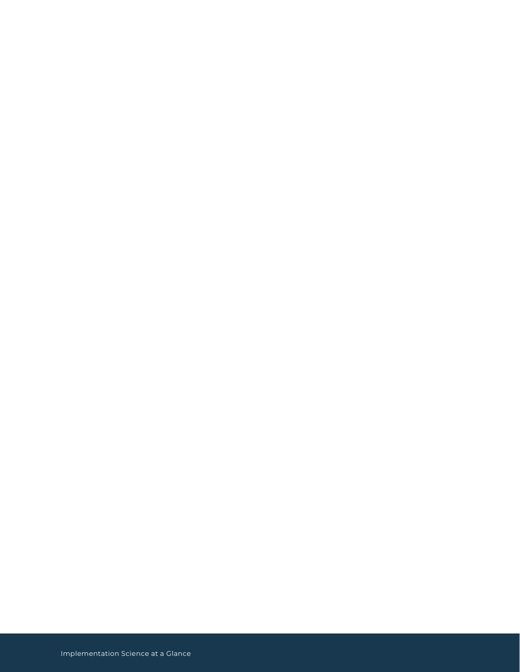Implementation Science at a Glance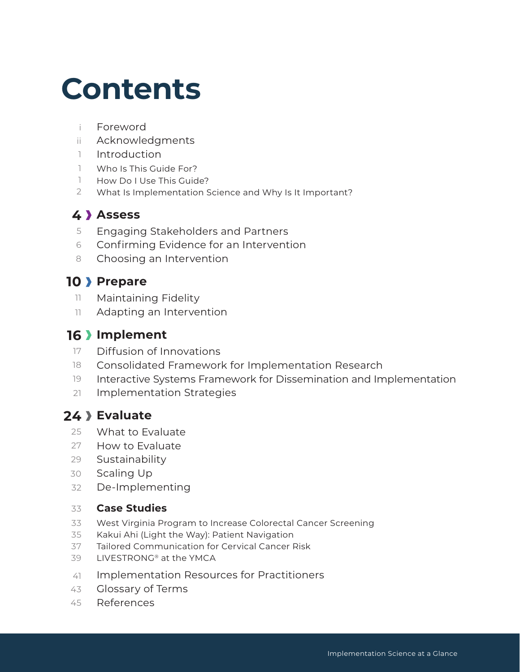# **Contents**

- i [Foreword](#page-1-0)
- ii [Acknowledgments](#page-2-0)
- 1 Introduction
- 1 Who Is This Guide For?
- 1 [How Do I Use This Guide?](#page-5-0)
- 2 [What Is Implementation Science and Why Is It Important?](#page-6-0)

#### **4 [Assess](#page-8-0)**

- 5 [Engaging Stakeholders and Partners](#page-9-0)
- 6 [Confirming Evidence for an Intervention](#page-10-0)
- 8 [Choosing an Intervention](#page-12-0)

#### **10 [Prepare](#page-14-0)**

- 11 Maintaining Fidelity
- 11 [Adapting an Intervention](#page-15-0)

#### **16 [Implement](#page-20-0)**

- 17 [Diffusion of Innovations](#page-21-0)
- 18 [Consolidated Framework for Implementation Research](#page-22-0)
- 19 [Interactive Systems Framework for Dissemination and Implementation](#page-23-0)
- 21 [Implementation Strategies](#page-25-0)

### **24 [Evaluate](#page-28-0)**

- 25 [What to Evaluate](#page-29-0)
- 27 [How to Evaluate](#page-31-0)
- 29 [Sustainability](#page-33-0)
- 30 [Scaling Up](#page-34-0)
- 32 [De-Implementing](#page-36-0)

#### 33 **[Case Studies](#page-37-0)**

- 33 [West Virginia Program to Increase Colorectal Cancer Screening](#page-37-0)
- 35 [Kakui Ahi \(Light the Way\): Patient Navigation](#page-39-0)
- 37 [Tailored Communication for Cervical Cancer Risk](#page-41-0)
- 39 [LIVESTRONG](#page-43-0)® at the YMCA
- $41$ [Implementation Resources for Practitioners](#page-45-0)
- 43 [Glossary of Terms](#page-47-0)
- 45 [References](#page-49-0)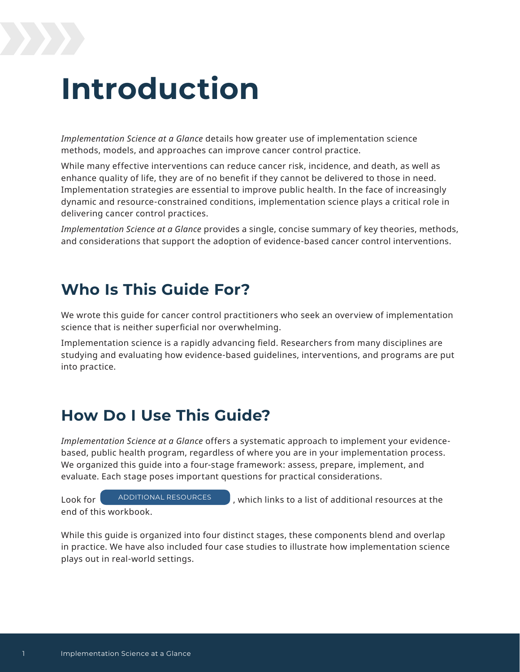<span id="page-5-0"></span>

# **Introduction**

*Implementation Science at a Glance* details how greater use of implementation science methods, models, and approaches can improve cancer control practice.

While many effective interventions can reduce cancer risk, incidence, and death, as well as enhance quality of life, they are of no benefit if they cannot be delivered to those in need. Implementation strategies are essential to improve public health. In the face of increasingly dynamic and resource-constrained conditions, implementation science plays a critical role in delivering cancer control practices.

*Implementation Science at a Glance* provides a single, concise summary of key theories, methods, and considerations that support the adoption of evidence-based cancer control interventions.

## **Who Is This Guide For?**

We wrote this guide for cancer control practitioners who seek an overview of implementation science that is neither superficial nor overwhelming.

Implementation science is a rapidly advancing field. Researchers from many disciplines are studying and evaluating how evidence-based guidelines, interventions, and programs are put into practice.

# **How Do I Use This Guide?**

*Implementation Science at a Glance* offers a systematic approach to implement your evidencebased, public health program, regardless of where you are in your implementation process. We organized this guide into a four-stage framework: assess, prepare, implement, and evaluate. Each stage poses important questions for practical considerations.

Look for  $\begin{bmatrix} 1 & 0 \end{bmatrix}$  ADDITIONAL RESOURCES  $\begin{bmatrix} 1 & 0 \end{bmatrix}$ , which links to a list of additional resources at the end of this workbook. [ADDITIONAL RESOURCES](#page-45-0)

While this guide is organized into four distinct stages, these components blend and overlap in practice. We have also included four case studies to illustrate how implementation science plays out in real-world settings.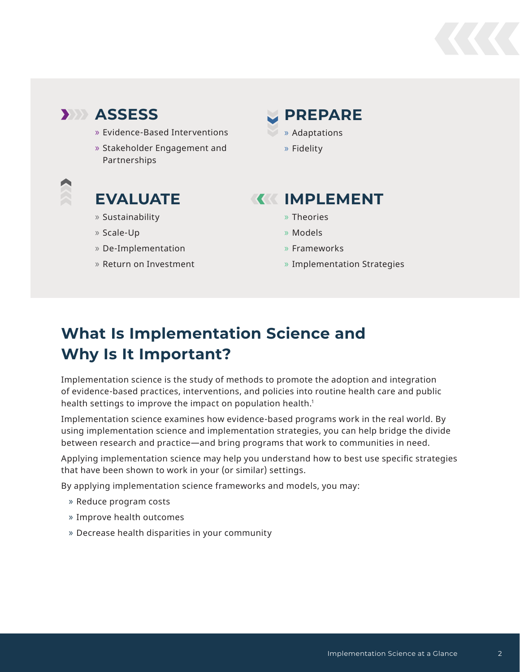

# <span id="page-6-0"></span>**ASSESS**

- » Evidence-Based Interventions
- » Stakeholder Engagement and Partnerships

## **EVALUATE**

- » Sustainability
- » Scale-Up
- » De-Implementation
- » Return on Investment

### **PREPARE**

- » Adaptations
	- » Fidelity

### *KK* IMPLEMENT

- » Theories
- » Models
- » Frameworks
- » Implementation Strategies

# **What Is Implementation Science and Why Is It Important?**

Implementation science is the study of methods to promote the adoption and integration of evidence-based practices, interventions, and policies into routine health care and public health settings to improve the impact on population health.<sup>1</sup>

Implementation science examines how evidence-based programs work in the real world. By using implementation science and implementation strategies, you can help bridge the divide between research and practice—and bring programs that work to communities in need.

Applying implementation science may help you understand how to best use specific strategies that have been shown to work in your (or similar) settings.

By applying implementation science frameworks and models, you may:

- » Reduce program costs
- » Improve health outcomes
- » Decrease health disparities in your community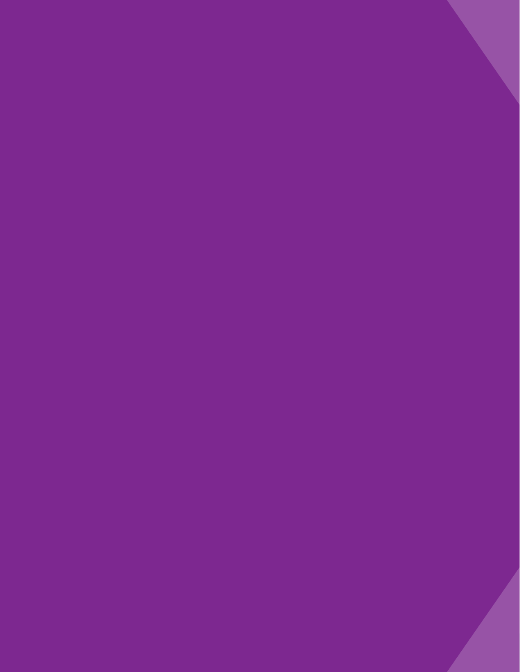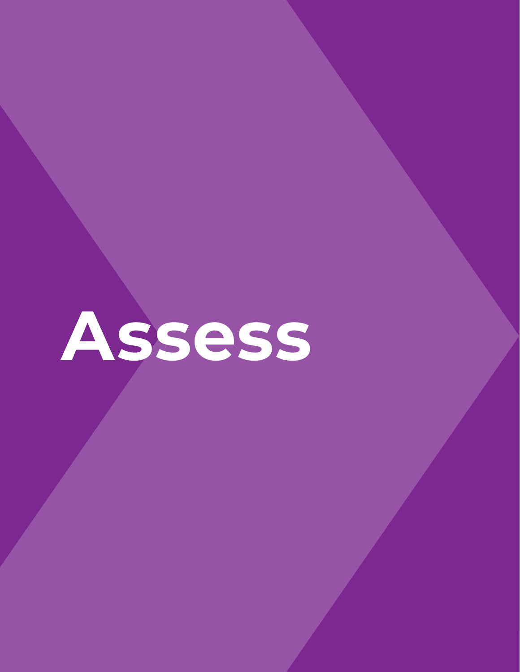# <span id="page-8-0"></span>**Assess**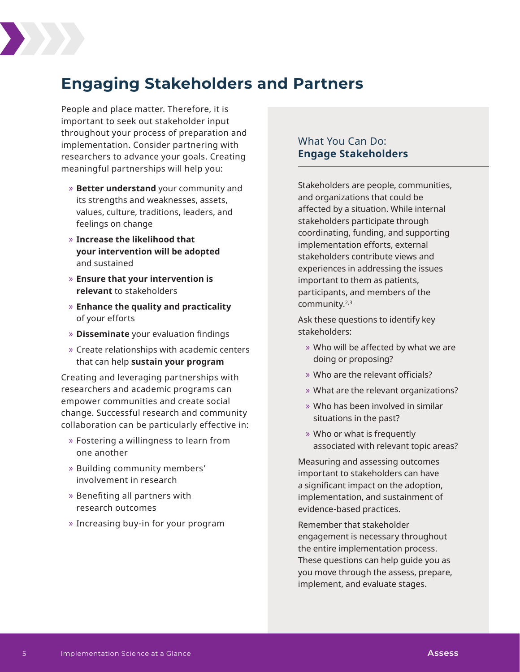<span id="page-9-0"></span>

# **Engaging Stakeholders and Partners**

People and place matter. Therefore, it is important to seek out stakeholder input throughout your process of preparation and implementation. Consider partnering with researchers to advance your goals. Creating meaningful partnerships will help you:

- » **Better understand** your community and its strengths and weaknesses, assets, values, culture, traditions, leaders, and feelings on change
- » **Increase the likelihood that your intervention will be adopted** and sustained
- » **Ensure that your intervention is relevant** to stakeholders
- » **Enhance the quality and practicality** of your efforts
- » **Disseminate** your evaluation findings
- » Create relationships with academic centers that can help **sustain your program**

Creating and leveraging partnerships with researchers and academic programs can empower communities and create social change. Successful research and community collaboration can be particularly effective in:

- » Fostering a willingness to learn from one another
- » Building community members' involvement in research
- » Benefiting all partners with research outcomes
- » Increasing buy-in for your program

#### What You Can Do: **Engage Stakeholders**

Stakeholders are people, communities, and organizations that could be affected by a situation. While internal stakeholders participate through coordinating, funding, and supporting implementation efforts, external stakeholders contribute views and experiences in addressing the issues important to them as patients, participants, and members of the community.2,3

Ask these questions to identify key stakeholders:

- » Who will be affected by what we are doing or proposing?
- » Who are the relevant officials?
- » What are the relevant organizations?
- » Who has been involved in similar situations in the past?
- » Who or what is frequently associated with relevant topic areas?

Measuring and assessing outcomes important to stakeholders can have a significant impact on the adoption, implementation, and sustainment of evidence-based practices.

Remember that stakeholder engagement is necessary throughout the entire implementation process. These questions can help guide you as you move through the assess, prepare, implement, and evaluate stages.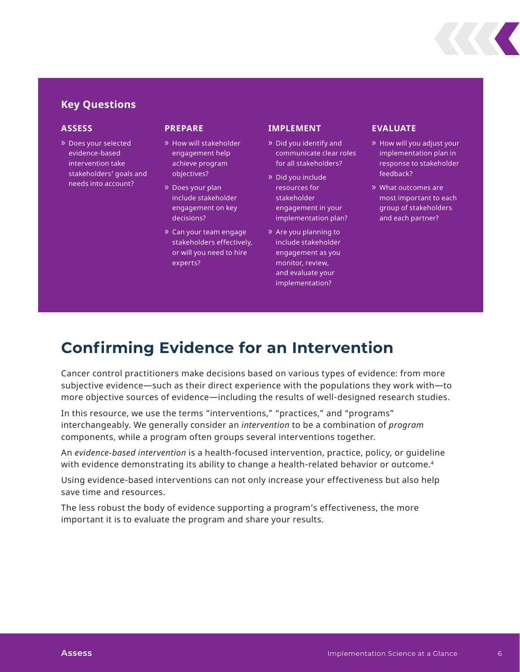

#### <span id="page-10-0"></span>**Key Questions**

#### **ASSESS**

» Does your selected evidence-based intervention take stakeholders' goals and needs into account?

#### **PREPARE**

- » How will stakeholder engagement help achieve program objectives?
- » Does your plan include stakeholder engagement on key decisions?
- » Can your team engage stakeholders effectively, or will you need to hire experts?

#### **IMPLEMENT**

- » Did you identify and communicate clear roles for all stakeholders?
- » Did you include resources for stakeholder engagement in your implementation plan?
- » Are you planning to include stakeholder engagement as you monitor, review, and evaluate your implementation?

#### **EVALUATE**

- » How will you adjust your implementation plan in response to stakeholder feedback?
- » What outcomes are most important to each group of stakeholders and each partner?

# **Confirming Evidence for an Intervention**

Cancer control practitioners make decisions based on various types of evidence: from more subjective evidence—such as their direct experience with the populations they work with—to more objective sources of evidence—including the results of well-designed research studies.

In this resource, we use the terms "interventions," "practices," and "programs" interchangeably. We generally consider an *intervention* to be a combination of *program* components, while a program often groups several interventions together.

An *evidence-based intervention* is a health-focused intervention, practice, policy, or guideline with evidence demonstrating its ability to change a health-related behavior or outcome. $^{\rm 4}$ 

Using evidence-based interventions can not only increase your effectiveness but also help save time and resources.

The less robust the body of evidence supporting a program's effectiveness, the more important it is to evaluate the program and share your results.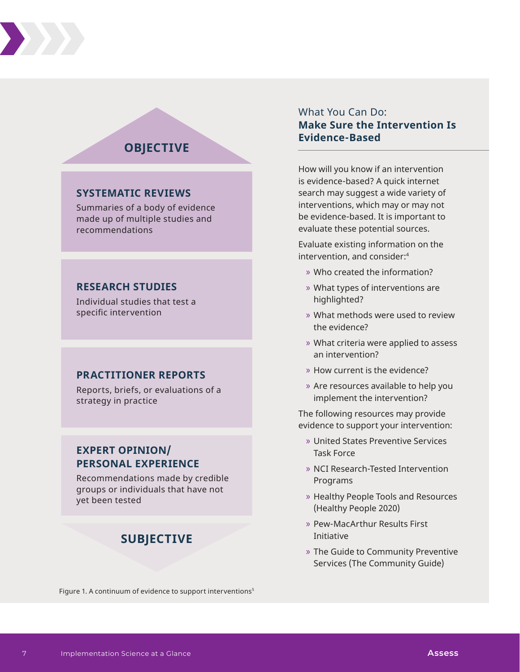

#### **OBJECTIVE**

#### **SYSTEMATIC REVIEWS**

Summaries of a body of evidence made up of multiple studies and recommendations

#### **RESEARCH STUDIES**

Individual studies that test a specific intervention

#### **PRACTITIONER REPORTS**

Reports, briefs, or evaluations of a strategy in practice

#### **EXPERT OPINION/ PERSONAL EXPERIENCE**

Recommendations made by credible groups or individuals that have not yet been tested

#### **SUBJECTIVE**

Figure 1. A continuum of evidence to support interventions<sup>5</sup>

#### What You Can Do: **Make Sure the Intervention Is Evidence-Based**

How will you know if an intervention is evidence-based? A quick internet search may suggest a wide variety of interventions, which may or may not be evidence-based. It is important to evaluate these potential sources.

Evaluate existing information on the intervention, and consider:<sup>4</sup>

- » Who created the information?
- » What types of interventions are highlighted?
- » What methods were used to review the evidence?
- » What criteria were applied to assess an intervention?
- » How current is the evidence?
- » Are resources available to help you implement the intervention?

The following resources may provide evidence to support your intervention:

- » United States Preventive Services Task Force
- » NCI Research-Tested Intervention Programs
- » Healthy People Tools and Resources (Healthy People 2020)
- » Pew-MacArthur Results First Initiative
- » The Guide to Community Preventive Services (The Community Guide)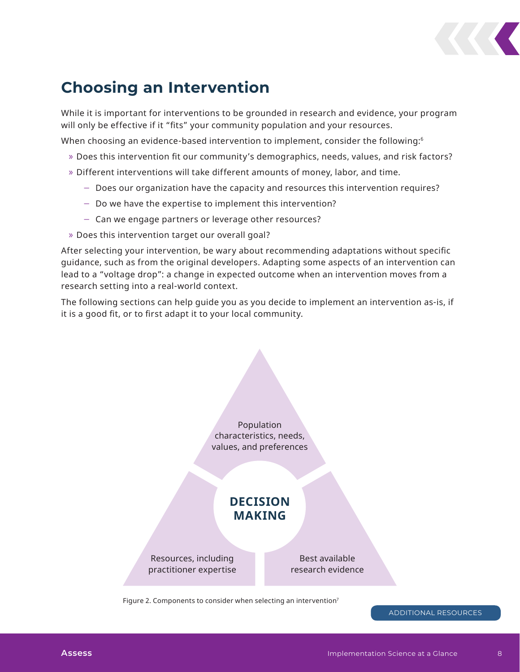

# <span id="page-12-0"></span>**Choosing an Intervention**

While it is important for interventions to be grounded in research and evidence, your program will only be effective if it "fits" your community population and your resources.

When choosing an evidence-based intervention to implement, consider the following:<sup>6</sup>

- » Does this intervention fit our community's demographics, needs, values, and risk factors?
- » Different interventions will take different amounts of money, labor, and time.
	- Does our organization have the capacity and resources this intervention requires?
	- Do we have the expertise to implement this intervention?
	- Can we engage partners or leverage other resources?
- » Does this intervention target our overall goal?

After selecting your intervention, be wary about recommending adaptations without specific guidance, such as from the original developers. Adapting some aspects of an intervention can lead to a "voltage drop": a change in expected outcome when an intervention moves from a research setting into a real-world context.

The following sections can help guide you as you decide to implement an intervention as-is, if it is a good fit, or to first adapt it to your local community.



Figure 2. Components to consider when selecting an intervention<sup>7</sup>

[ADDITIONAL RESOURCES](#page-45-0)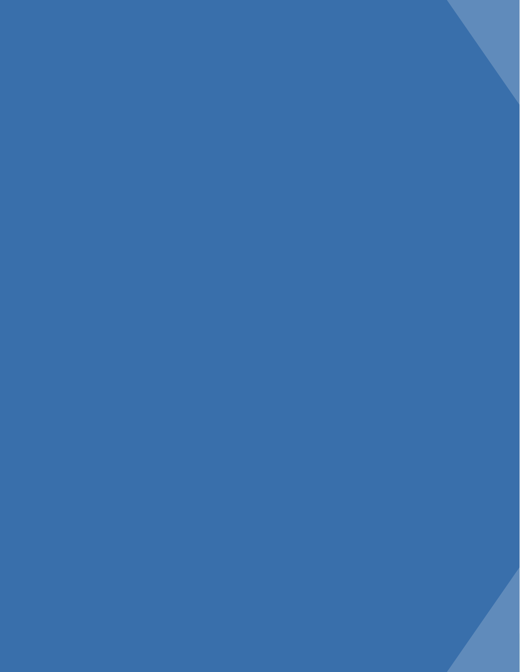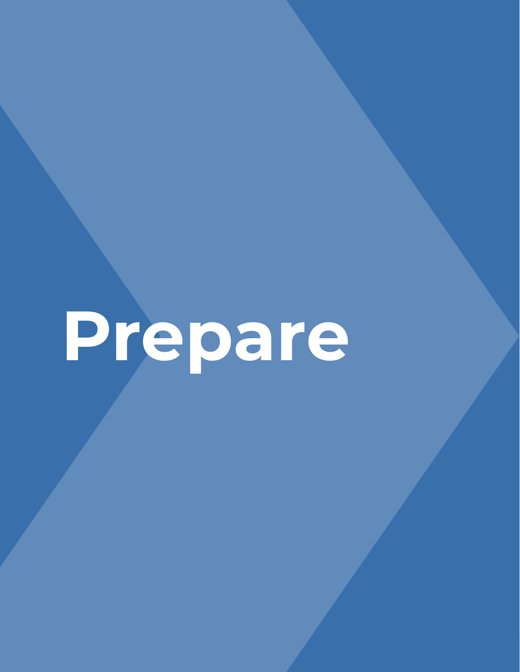# <span id="page-14-0"></span>**Prepare**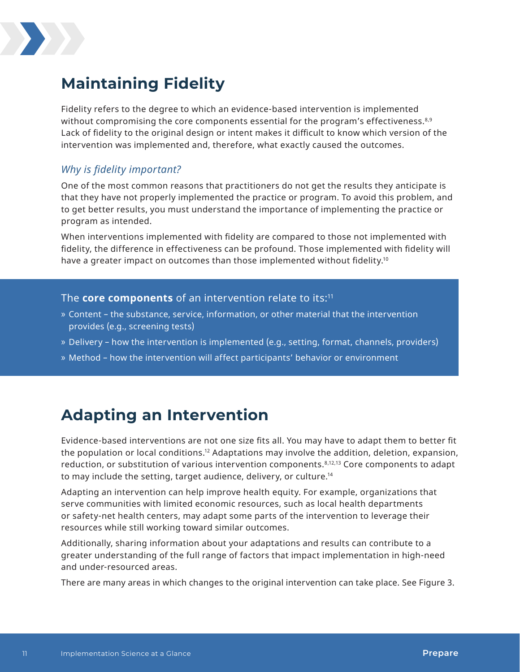<span id="page-15-0"></span>

# **Maintaining Fidelity**

Fidelity refers to the degree to which an evidence-based intervention is implemented without compromising the core components essential for the program's effectiveness.<sup>8,9</sup> Lack of fidelity to the original design or intent makes it difficult to know which version of the intervention was implemented and, therefore, what exactly caused the outcomes.

#### *Why is fidelity important?*

One of the most common reasons that practitioners do not get the results they anticipate is that they have not properly implemented the practice or program. To avoid this problem, and to get better results, you must understand the importance of implementing the practice or program as intended.

When interventions implemented with fidelity are compared to those not implemented with fidelity, the difference in effectiveness can be profound. Those implemented with fidelity will have a greater impact on outcomes than those implemented without fidelity.<sup>10</sup>

#### The **core components** of an intervention relate to its:<sup>11</sup>

- » Content the substance, service, information, or other material that the intervention provides (e.g., screening tests)
- » Delivery how the intervention is implemented (e.g., setting, format, channels, providers)
- » Method how the intervention will affect participants' behavior or environment

# **Adapting an Intervention**

Evidence-based interventions are not one size fits all. You may have to adapt them to better fit the population or local conditions.12 Adaptations may involve the addition, deletion, expansion, reduction, or substitution of various intervention components.<sup>8,12,13</sup> Core components to adapt to may include the setting, target audience, delivery, or culture.<sup>14</sup>

Adapting an intervention can help improve health equity. For example, organizations that serve communities with limited economic resources, such as local health departments or safety-net health centers, may adapt some parts of the intervention to leverage their resources while still working toward similar outcomes.

Additionally, sharing information about your adaptations and results can contribute to a greater understanding of the full range of factors that impact implementation in high-need and under-resourced areas.

There are many areas in which changes to the original intervention can take place. See Figure 3.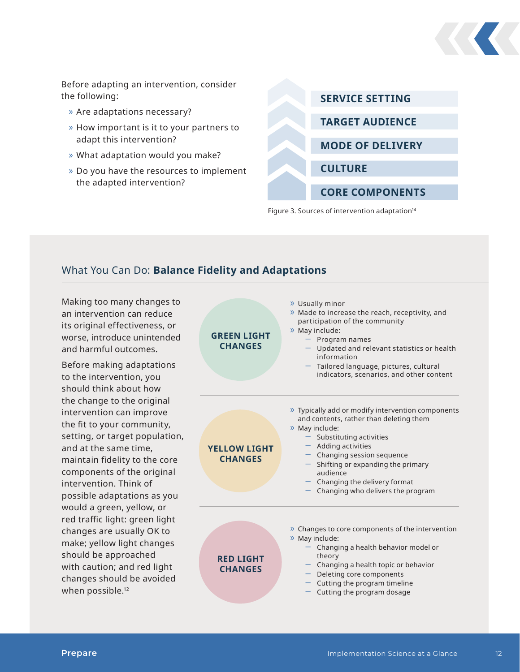

Before adapting an intervention, consider the following:

- » Are adaptations necessary?
- » How important is it to your partners to adapt this intervention?
- » What adaptation would you make?
- » Do you have the resources to implement the adapted intervention?

| <b>SERVICE SETTING</b>  |
|-------------------------|
| <b>TARGET AUDIENCE</b>  |
| <b>MODE OF DELIVERY</b> |
| <b>CULTURE</b>          |
| <b>CORE COMPONENTS</b>  |

Figure 3. Sources of intervention adaptation<sup>14</sup>

#### What You Can Do: **Balance Fidelity and Adaptations**

Making too many chang an intervention can red its original effectivenes worse, introduce uninte and harmful outcomes.

Before making adaptati to the intervention, you should think about how the change to the origin intervention can improv the fit to your communi setting, or target popul and at the same time, maintain fidelity to the components of the orig intervention. Think of possible adaptations as would a green, yellow, red traffic light: green l changes are usually OK make; yellow light chan should be approached with caution; and red light changes should be avo when possible.<sup>12</sup>

| ges to<br>uce<br>s, or<br>ended<br>ions:<br>V          | <b>GREEN LIGHT</b><br><b>CHANGES</b>  | » Usually minor<br>» Made to increase the reach, receptivity, and<br>participation of the community<br>» May include:<br>$-$ Program names<br>Updated and relevant statistics or health<br>information<br>Tailored language, pictures, cultural<br>indicators, scenarios, and other content                                     |
|--------------------------------------------------------|---------------------------------------|---------------------------------------------------------------------------------------------------------------------------------------------------------------------------------------------------------------------------------------------------------------------------------------------------------------------------------|
| nal<br>ve<br>ity,<br>lation,<br>core<br>ginal<br>s you | <b>YELLOW LIGHT</b><br><b>CHANGES</b> | » Typically add or modify intervention components<br>and contents, rather than deleting them<br>» May include:<br>Substituting activities<br>$-$ Adding activities<br>$-$ Changing session sequence<br>Shifting or expanding the primary<br>audience<br>- Changing the delivery format<br>$-$ Changing who delivers the program |
| or<br>light<br>(to<br>າges<br>ght<br>ided              | <b>RED LIGHT</b><br><b>CHANGES</b>    | » Changes to core components of the intervention<br>» May include:<br>Changing a health behavior model or<br>theory<br>$-$ Changing a health topic or behavior<br>- Deleting core components<br>$-$ Cutting the program timeline                                                                                                |

– Cutting the program dosage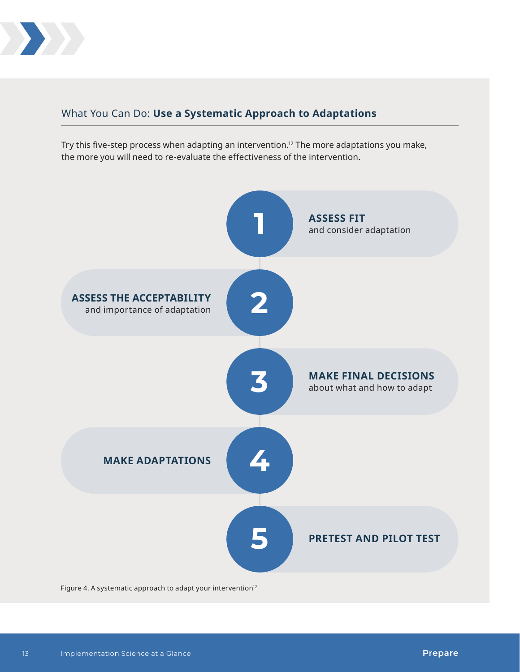

#### What You Can Do: **Use a Systematic Approach to Adaptations**

Try this five-step process when adapting an intervention.<sup>12</sup> The more adaptations you make, the more you will need to re-evaluate the effectiveness of the intervention.



Figure 4. A systematic approach to adapt your intervention $12$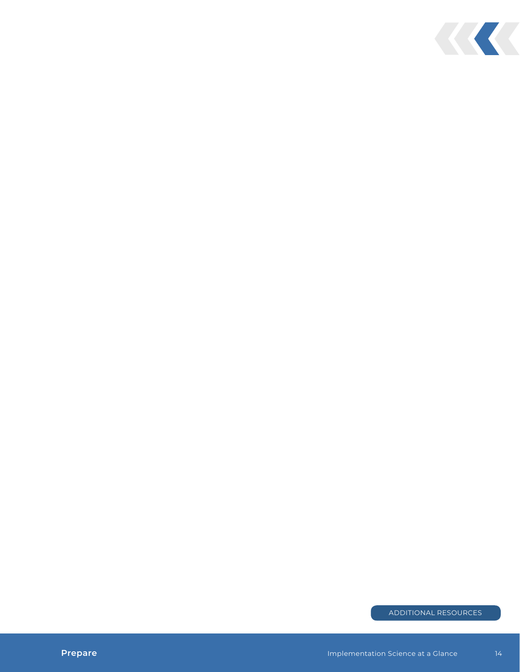

[ADDITIONAL RESOURCES](#page-45-0)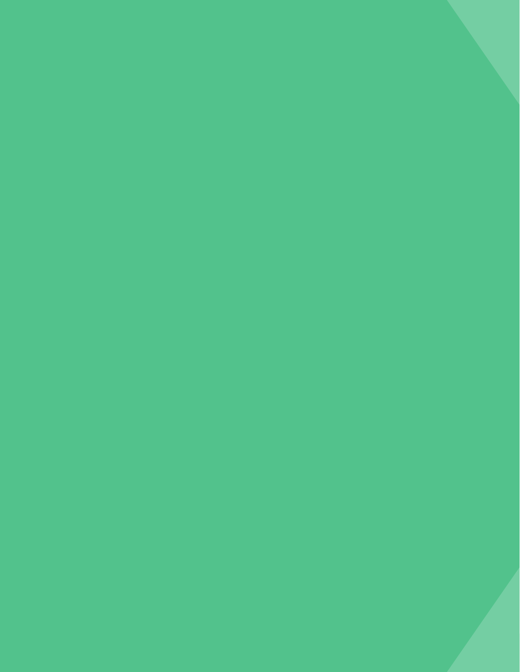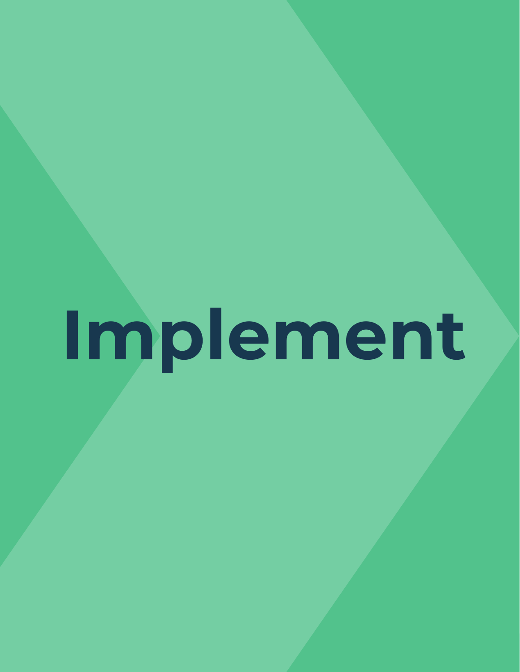# <span id="page-20-0"></span>**Implement**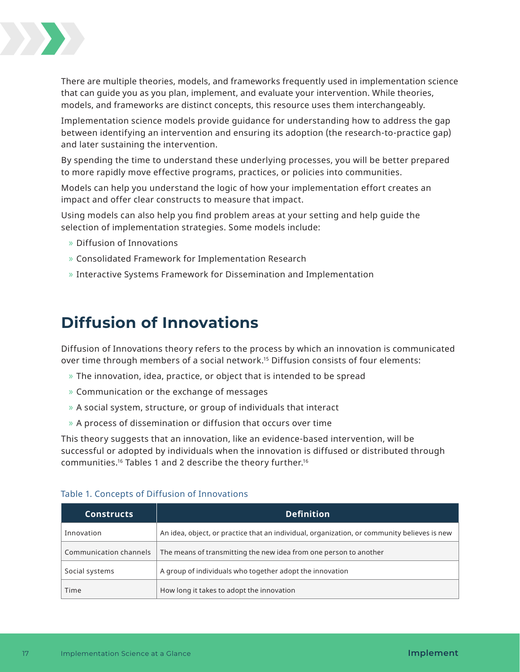<span id="page-21-0"></span>

There are multiple theories, models, and frameworks frequently used in implementation science that can guide you as you plan, implement, and evaluate your intervention. While theories, models, and frameworks are distinct concepts, this resource uses them interchangeably.

Implementation science models provide guidance for understanding how to address the gap between identifying an intervention and ensuring its adoption (the research-to-practice gap) and later sustaining the intervention.

By spending the time to understand these underlying processes, you will be better prepared to more rapidly move effective programs, practices, or policies into communities.

Models can help you understand the logic of how your implementation effort creates an impact and offer clear constructs to measure that impact.

Using models can also help you find problem areas at your setting and help guide the selection of implementation strategies. Some models include:

- » Diffusion of Innovations
- » Consolidated Framework for Implementation Research
- » Interactive Systems Framework for Dissemination and Implementation

## **Diffusion of Innovations**

Diffusion of Innovations theory refers to the process by which an innovation is communicated over time through members of a social network.<sup>15</sup> Diffusion consists of four elements:

- » The innovation, idea, practice, or object that is intended to be spread
- » Communication or the exchange of messages
- » A social system, structure, or group of individuals that interact
- » A process of dissemination or diffusion that occurs over time

This theory suggests that an innovation, like an evidence-based intervention, will be successful or adopted by individuals when the innovation is diffused or distributed through communities.16 Tables 1 and 2 describe the theory further.<sup>16</sup>

| <b>Constructs</b>      | <b>Definition</b>                                                                           |
|------------------------|---------------------------------------------------------------------------------------------|
| Innovation             | An idea, object, or practice that an individual, organization, or community believes is new |
| Communication channels | The means of transmitting the new idea from one person to another                           |
| Social systems         | A group of individuals who together adopt the innovation                                    |
| Time                   | How long it takes to adopt the innovation                                                   |

#### Table 1. Concepts of Diffusion of Innovations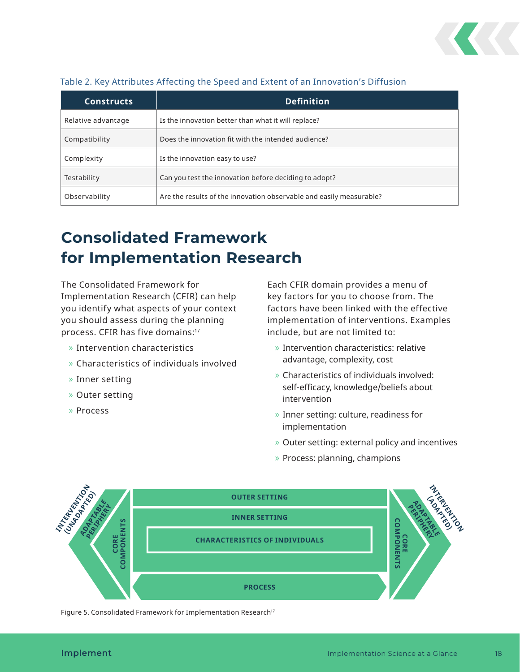

| <b>Constructs</b>  | <b>Definition</b>                                                   |
|--------------------|---------------------------------------------------------------------|
| Relative advantage | Is the innovation better than what it will replace?                 |
| Compatibility      | Does the innovation fit with the intended audience?                 |
| Complexity         | Is the innovation easy to use?                                      |
| Testability        | Can you test the innovation before deciding to adopt?               |
| Observability      | Are the results of the innovation observable and easily measurable? |

#### <span id="page-22-0"></span>Table 2. Key Attributes Affecting the Speed and Extent of an Innovation's Diffusion

## **Consolidated Framework for Implementation Research**

The Consolidated Framework for Implementation Research (CFIR) can help you identify what aspects of your context you should assess during the planning process. CFIR has five domains:<sup>17</sup>

- » Intervention characteristics
- » Characteristics of individuals involved
- » Inner setting
- » Outer setting
- » Process

Each CFIR domain provides a menu of key factors for you to choose from. The factors have been linked with the effective implementation of interventions. Examples include, but are not limited to:

- » Intervention characteristics: relative advantage, complexity, cost
- » Characteristics of individuals involved: self-efficacy, knowledge/beliefs about intervention
- » Inner setting: culture, readiness for implementation
- » Outer setting: external policy and incentives
- » Process: planning, champions



Figure 5. Consolidated Framework for Implementation Research<sup>17</sup>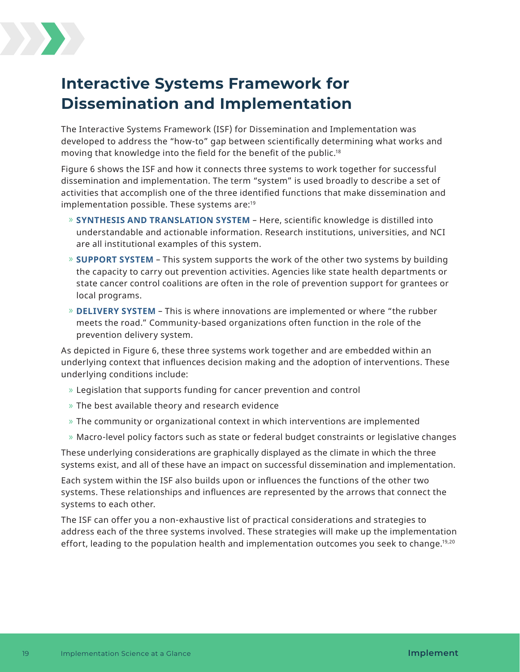<span id="page-23-0"></span>

# **Interactive Systems Framework for Dissemination and Implementation**

The Interactive Systems Framework (ISF) for Dissemination and Implementation was developed to address the "how-to" gap between scientifically determining what works and moving that knowledge into the field for the benefit of the public.<sup>18</sup>

Figure 6 shows the ISF and how it connects three systems to work together for successful dissemination and implementation. The term "system" is used broadly to describe a set of activities that accomplish one of the three identified functions that make dissemination and implementation possible. These systems are:<sup>19</sup>

- » **SYNTHESIS AND TRANSLATION SYSTEM** Here, scientific knowledge is distilled into understandable and actionable information. Research institutions, universities, and NCI are all institutional examples of this system.
- » **SUPPORT SYSTEM** This system supports the work of the other two systems by building the capacity to carry out prevention activities. Agencies like state health departments or state cancer control coalitions are often in the role of prevention support for grantees or local programs.
- » **DELIVERY SYSTEM**  This is where innovations are implemented or where "the rubber meets the road." Community-based organizations often function in the role of the prevention delivery system.

As depicted in Figure 6, these three systems work together and are embedded within an underlying context that influences decision making and the adoption of interventions. These underlying conditions include:

- » Legislation that supports funding for cancer prevention and control
- » The best available theory and research evidence
- » The community or organizational context in which interventions are implemented
- » Macro-level policy factors such as state or federal budget constraints or legislative changes

These underlying considerations are graphically displayed as the climate in which the three systems exist, and all of these have an impact on successful dissemination and implementation.

Each system within the ISF also builds upon or influences the functions of the other two systems. These relationships and influences are represented by the arrows that connect the systems to each other.

The ISF can offer you a non-exhaustive list of practical considerations and strategies to address each of the three systems involved. These strategies will make up the implementation effort, leading to the population health and implementation outcomes you seek to change.<sup>19,20</sup>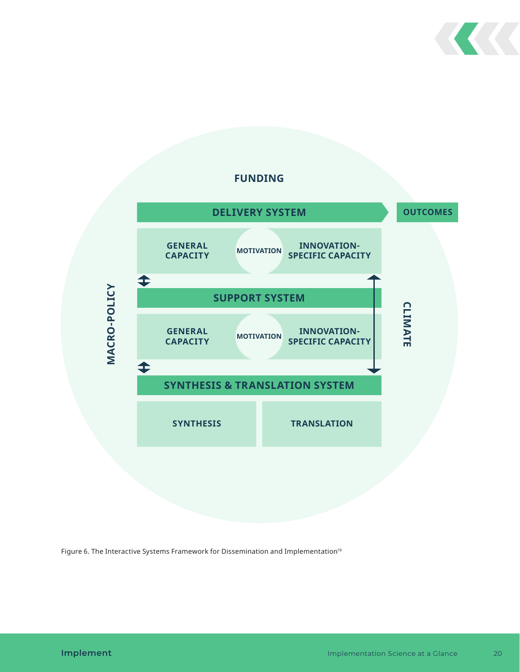



Figure 6. The Interactive Systems Framework for Dissemination and Implementation<sup>19</sup>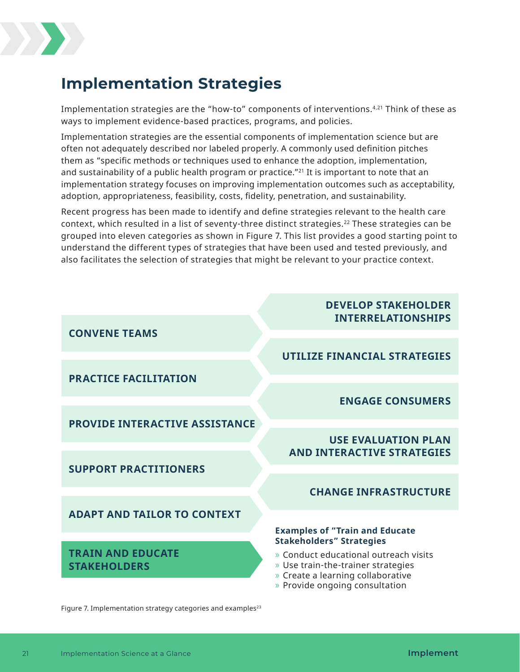<span id="page-25-0"></span>

# **Implementation Strategies**

Implementation strategies are the "how-to" components of interventions.<sup>4,21</sup> Think of these as ways to implement evidence-based practices, programs, and policies.

Implementation strategies are the essential components of implementation science but are often not adequately described nor labeled properly. A commonly used definition pitches them as "specific methods or techniques used to enhance the adoption, implementation, and sustainability of a public health program or practice."<sup>21</sup> It is important to note that an implementation strategy focuses on improving implementation outcomes such as acceptability, adoption, appropriateness, feasibility, costs, fidelity, penetration, and sustainability.

Recent progress has been made to identify and define strategies relevant to the health care context, which resulted in a list of seventy-three distinct strategies.<sup>22</sup> These strategies can be grouped into eleven categories as shown in Figure 7. This list provides a good starting point to understand the different types of strategies that have been used and tested previously, and also facilitates the selection of strategies that might be relevant to your practice context.

|                                                 | <b>DEVELOP STAKEHOLDER</b><br><b>INTERRELATIONSHIPS</b>                                                                                            |
|-------------------------------------------------|----------------------------------------------------------------------------------------------------------------------------------------------------|
| <b>CONVENE TEAMS</b>                            | UTILIZE FINANCIAL STRATEGIES                                                                                                                       |
| <b>PRACTICE FACILITATION</b>                    |                                                                                                                                                    |
|                                                 | <b>ENGAGE CONSUMERS</b>                                                                                                                            |
| <b>PROVIDE INTERACTIVE ASSISTANCE</b>           |                                                                                                                                                    |
|                                                 | <b>USE EVALUATION PLAN</b><br><b>AND INTERACTIVE STRATEGIES</b>                                                                                    |
| <b>SUPPORT PRACTITIONERS</b>                    |                                                                                                                                                    |
|                                                 | <b>CHANGE INFRASTRUCTURE</b>                                                                                                                       |
| <b>ADAPT AND TAILOR TO CONTEXT</b>              |                                                                                                                                                    |
|                                                 | <b>Examples of "Train and Educate</b><br><b>Stakeholders" Strategies</b>                                                                           |
| <b>TRAIN AND EDUCATE</b><br><b>STAKEHOLDERS</b> | » Conduct educational outreach visits<br>» Use train-the-trainer strategies<br>» Create a learning collaborative<br>» Provide ongoing consultation |

Figure 7. Implementation strategy categories and examples $^{23}$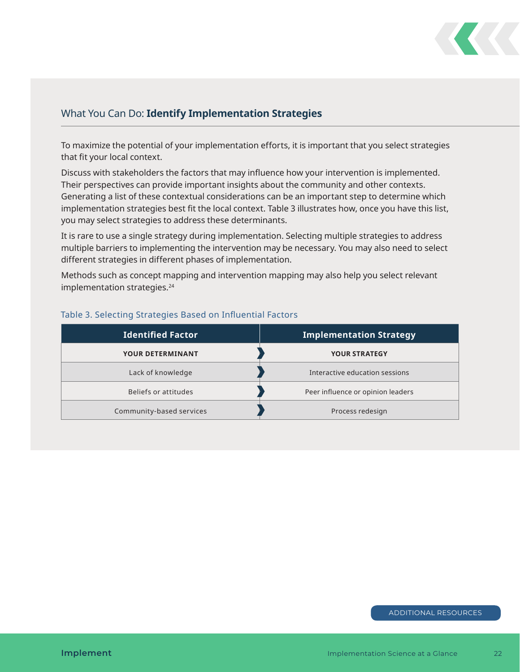

#### What You Can Do: **Identify Implementation Strategies**

To maximize the potential of your implementation efforts, it is important that you select strategies that fit your local context.

Discuss with stakeholders the factors that may influence how your intervention is implemented. Their perspectives can provide important insights about the community and other contexts. Generating a list of these contextual considerations can be an important step to determine which implementation strategies best fit the local context. Table 3 illustrates how, once you have this list, you may select strategies to address these determinants.

It is rare to use a single strategy during implementation. Selecting multiple strategies to address multiple barriers to implementing the intervention may be necessary. You may also need to select different strategies in different phases of implementation.

Methods such as concept mapping and intervention mapping may also help you select relevant implementation strategies.<sup>24</sup>

| <b>Identified Factor</b> | <b>Implementation Strategy</b>    |  |
|--------------------------|-----------------------------------|--|
| <b>YOUR DETERMINANT</b>  | <b>YOUR STRATEGY</b>              |  |
| Lack of knowledge        | Interactive education sessions    |  |
| Beliefs or attitudes     | Peer influence or opinion leaders |  |
| Community-based services | Process redesign                  |  |

#### Table 3. Selecting Strategies Based on Influential Factors

[ADDITIONAL RESOURCES](#page-45-0)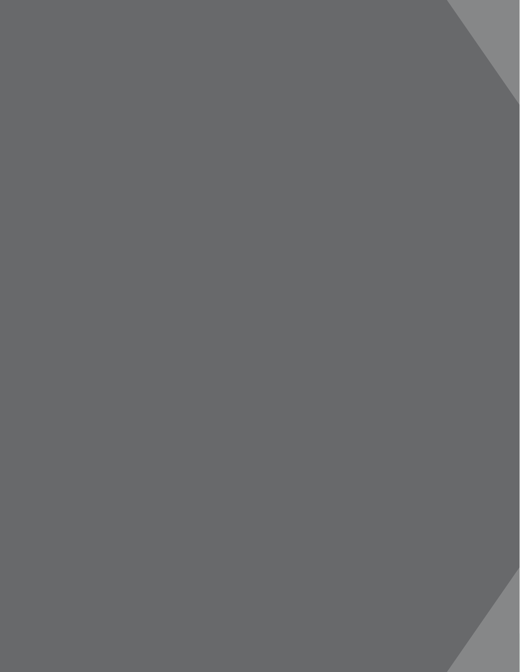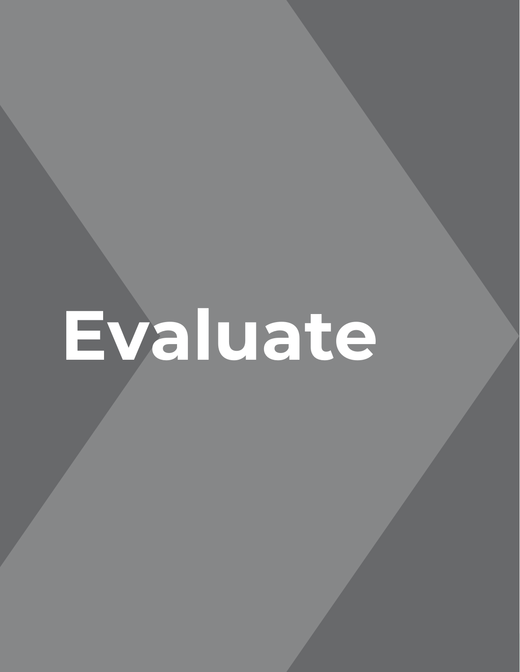# <span id="page-28-0"></span>**Evaluate**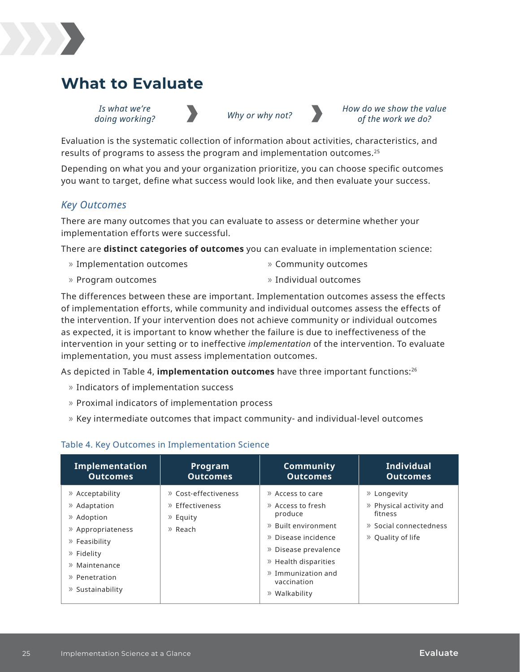<span id="page-29-0"></span>

## **What to Evaluate**

*Is what we're doing working? Why or why not?*



*How do we show the value of the work we do?*

Evaluation is the systematic collection of information about activities, characteristics, and results of programs to assess the program and implementation outcomes.<sup>25</sup>

Depending on what you and your organization prioritize, you can choose specific outcomes you want to target, define what success would look like, and then evaluate your success.

#### *Key Outcomes*

There are many outcomes that you can evaluate to assess or determine whether your implementation efforts were successful.

There are **distinct categories of outcomes** you can evaluate in implementation science:

» Implementation outcomes

- » Community outcomes
- » Program outcomes » Individual outcomes

The differences between these are important. Implementation outcomes assess the effects of implementation efforts, while community and individual outcomes assess the effects of the intervention. If your intervention does not achieve community or individual outcomes as expected, it is important to know whether the failure is due to ineffectiveness of the intervention in your setting or to ineffective *implementation* of the intervention. To evaluate implementation, you must assess implementation outcomes.

As depicted in Table 4, **implementation outcomes** have three important functions:<sup>26</sup>

- » Indicators of implementation success
- » Proximal indicators of implementation process
- » Key intermediate outcomes that impact community- and individual-level outcomes

| <b>Implementation</b>                                                                                                                                   | Program                                                                    | Community                                                                                                                                                                                            | <b>Individual</b>                                                                                |
|---------------------------------------------------------------------------------------------------------------------------------------------------------|----------------------------------------------------------------------------|------------------------------------------------------------------------------------------------------------------------------------------------------------------------------------------------------|--------------------------------------------------------------------------------------------------|
| <b>Outcomes</b>                                                                                                                                         | <b>Outcomes</b>                                                            | <b>Outcomes</b>                                                                                                                                                                                      | <b>Outcomes</b>                                                                                  |
| » Acceptability<br>» Adaptation<br>» Adoption<br>» Appropriateness<br>» Feasibility<br>» Fidelity<br>» Maintenance<br>» Penetration<br>» Sustainability | » Cost-effectiveness<br>» Effectiveness<br>$\mathcal{P}$ Equity<br>» Reach | » Access to care<br>» Access to fresh<br>produce<br>» Built environment<br>» Disease incidence<br>» Disease prevalence<br>» Health disparities<br>» Immunization and<br>vaccination<br>» Walkability | » Longevity<br>» Physical activity and<br>fitness<br>» Social connectedness<br>» Quality of life |

#### Table 4. Key Outcomes in Implementation Science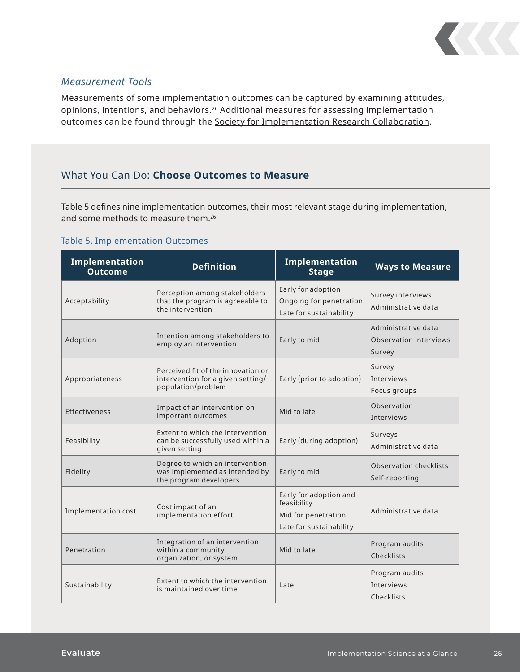

#### *Measurement Tools*

Measurements of some implementation outcomes can be captured by examining attitudes, opinions, intentions, and behaviors.<sup>26</sup> Additional measures for assessing implementation outcomes can be found through the [Society for Implementation Research Collaboration](https://societyforimplementationresearchcollaboration.org/).

#### What You Can Do: **Choose Outcomes to Measure**

Table 5 defines nine implementation outcomes, their most relevant stage during implementation, and some methods to measure them.26

#### Table 5. Implementation Outcomes

| Implementation<br><b>Outcome</b> | <b>Definition</b>                                                                             | Implementation<br><b>Stage</b>                                                          | <b>Ways to Measure</b>                                  |
|----------------------------------|-----------------------------------------------------------------------------------------------|-----------------------------------------------------------------------------------------|---------------------------------------------------------|
| Acceptability                    | Perception among stakeholders<br>that the program is agreeable to<br>the intervention         | Early for adoption<br>Ongoing for penetration<br>Late for sustainability                | Survey interviews<br>Administrative data                |
| Adoption                         | Intention among stakeholders to<br>employ an intervention                                     | Early to mid                                                                            | Administrative data<br>Observation interviews<br>Survey |
| Appropriateness                  | Perceived fit of the innovation or<br>intervention for a given setting/<br>population/problem | Early (prior to adoption)                                                               | Survey<br>Interviews<br>Focus groups                    |
| Effectiveness                    | Impact of an intervention on<br>important outcomes                                            | Mid to late                                                                             | Observation<br><b>Interviews</b>                        |
| Feasibility                      | Extent to which the intervention<br>can be successfully used within a<br>given setting        | Early (during adoption)                                                                 | Surveys<br>Administrative data                          |
| Fidelity                         | Degree to which an intervention<br>was implemented as intended by<br>the program developers   | Early to mid                                                                            | Observation checklists<br>Self-reporting                |
| Implementation cost              | Cost impact of an<br>implementation effort                                                    | Early for adoption and<br>feasibility<br>Mid for penetration<br>Late for sustainability | Administrative data                                     |
| Penetration                      | Integration of an intervention<br>within a community,<br>organization, or system              | Mid to late                                                                             | Program audits<br>Checklists                            |
| Sustainability                   | Extent to which the intervention<br>is maintained over time                                   | Late                                                                                    | Program audits<br>Interviews<br>Checklists              |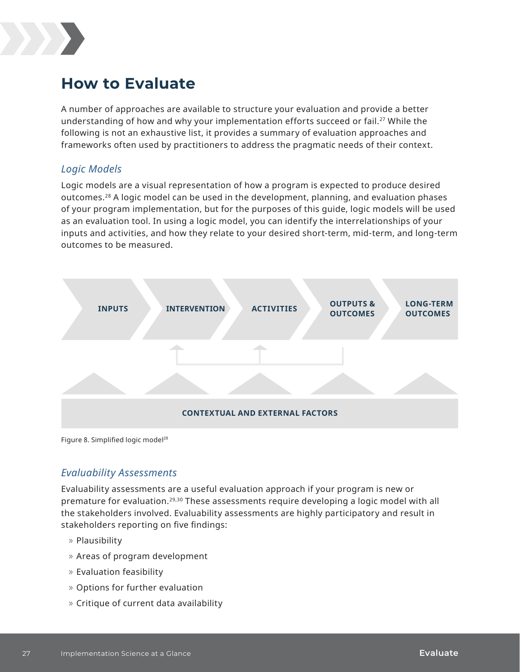<span id="page-31-0"></span>

## **How to Evaluate**

A number of approaches are available to structure your evaluation and provide a better understanding of how and why your implementation efforts succeed or fail.<sup>27</sup> While the following is not an exhaustive list, it provides a summary of evaluation approaches and frameworks often used by practitioners to address the pragmatic needs of their context.

#### *Logic Models*

Logic models are a visual representation of how a program is expected to produce desired outcomes.28 A logic model can be used in the development, planning, and evaluation phases of your program implementation, but for the purposes of this guide, logic models will be used as an evaluation tool. In using a logic model, you can identify the interrelationships of your inputs and activities, and how they relate to your desired short-term, mid-term, and long-term outcomes to be measured.



Figure 8. Simplified logic model<sup>28</sup>

#### *Evaluability Assessments*

Evaluability assessments are a useful evaluation approach if your program is new or premature for evaluation.29,30 These assessments require developing a logic model with all the stakeholders involved. Evaluability assessments are highly participatory and result in stakeholders reporting on five findings:

- » Plausibility
- » Areas of program development
- » Evaluation feasibility
- » Options for further evaluation
- » Critique of current data availability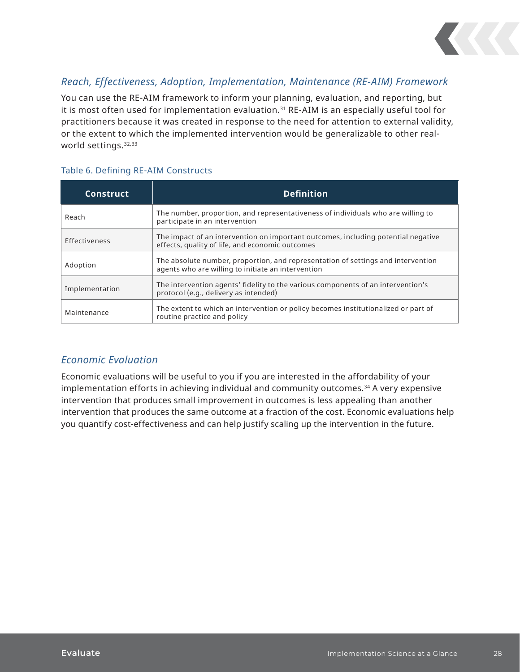

#### *Reach, Effectiveness, Adoption, Implementation, Maintenance (RE-AIM) Framework*

You can use the RE-AIM framework to inform your planning, evaluation, and reporting, but it is most often used for implementation evaluation.<sup>31</sup> RE-AIM is an especially useful tool for practitioners because it was created in response to the need for attention to external validity, or the extent to which the implemented intervention would be generalizable to other realworld settings.<sup>32,33</sup>

| <b>Construct</b> | <b>Definition</b>                                                                                                                      |
|------------------|----------------------------------------------------------------------------------------------------------------------------------------|
| Reach            | The number, proportion, and representativeness of individuals who are willing to<br>participate in an intervention                     |
| Effectiveness    | The impact of an intervention on important outcomes, including potential negative<br>effects, quality of life, and economic outcomes   |
| Adoption         | The absolute number, proportion, and representation of settings and intervention<br>agents who are willing to initiate an intervention |
| Implementation   | The intervention agents' fidelity to the various components of an intervention's<br>protocol (e.g., delivery as intended)              |
| Maintenance      | The extent to which an intervention or policy becomes institutionalized or part of<br>routine practice and policy                      |

#### Table 6. Defining RE-AIM Constructs

#### *Economic Evaluation*

Economic evaluations will be useful to you if you are interested in the affordability of your implementation efforts in achieving individual and community outcomes.<sup>34</sup> A very expensive intervention that produces small improvement in outcomes is less appealing than another intervention that produces the same outcome at a fraction of the cost. Economic evaluations help you quantify cost-effectiveness and can help justify scaling up the intervention in the future.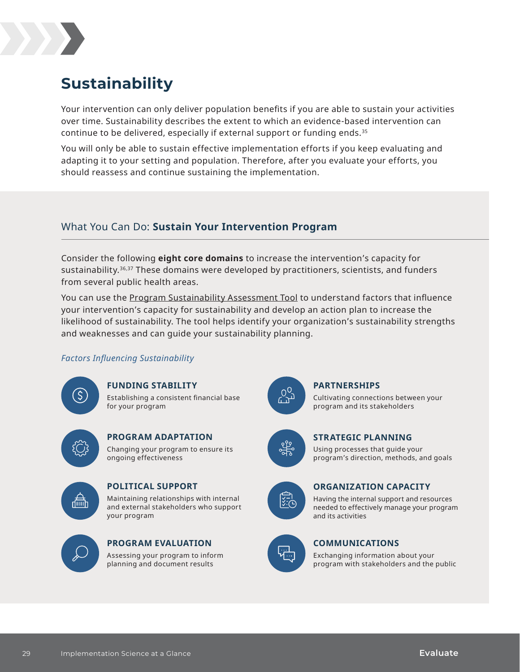<span id="page-33-0"></span>

Your intervention can only deliver population benefits if you are able to sustain your activities over time. Sustainability describes the extent to which an evidence-based intervention can continue to be delivered, especially if external support or funding ends.35

You will only be able to sustain effective implementation efforts if you keep evaluating and adapting it to your setting and population. Therefore, after you evaluate your efforts, you should reassess and continue sustaining the implementation.

#### What You Can Do: **Sustain Your Intervention Program**

Consider the following **eight core domains** to increase the intervention's capacity for sustainability.<sup>36,37</sup> These domains were developed by practitioners, scientists, and funders from several public health areas.

You can use the [Program Sustainability Assessment Tool](https://sustaintool.org) to understand factors that influence your intervention's capacity for sustainability and develop an action plan to increase the likelihood of sustainability. The tool helps identify your organization's sustainability strengths and weaknesses and can guide your sustainability planning.

#### *Factors Influencing Sustainability*



#### **FUNDING STABILITY**

Establishing a consistent financial base for your program



#### **PROGRAM ADAPTATION**

Changing your program to ensure its ongoing effectiveness



#### **POLITICAL SUPPORT**

Maintaining relationships with internal and external stakeholders who support your program



#### **PROGRAM EVALUATION**

Assessing your program to inform planning and document results



#### **PARTNERSHIPS**

Cultivating connections between your program and its stakeholders



#### **STRATEGIC PLANNING**

Using processes that guide your program's direction, methods, and goals



#### **ORGANIZATION CAPACITY**

Having the internal support and resources needed to effectively manage your program and its activities



#### **COMMUNICATIONS**

Exchanging information about your program with stakeholders and the public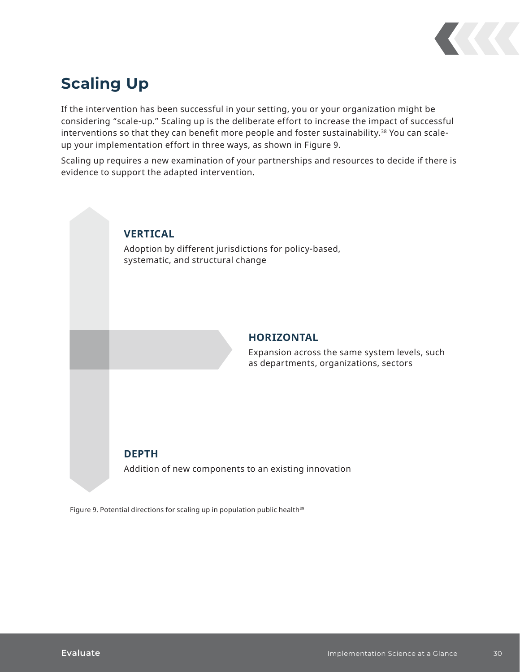

# <span id="page-34-0"></span>**Scaling Up**

If the intervention has been successful in your setting, you or your organization might be considering "scale-up." Scaling up is the deliberate effort to increase the impact of successful interventions so that they can benefit more people and foster sustainability.<sup>38</sup> You can scaleup your implementation effort in three ways, as shown in Figure 9.

Scaling up requires a new examination of your partnerships and resources to decide if there is evidence to support the adapted intervention.



Figure 9. Potential directions for scaling up in population public health<sup>39</sup>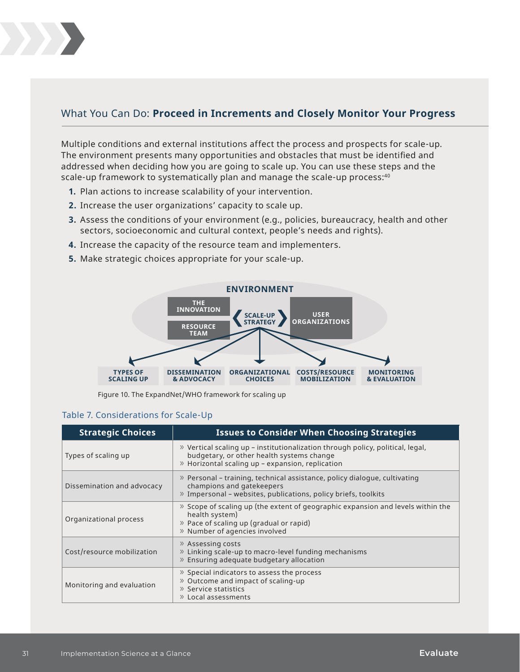

#### What You Can Do: **Proceed in Increments and Closely Monitor Your Progress**

Multiple conditions and external institutions affect the process and prospects for scale-up. The environment presents many opportunities and obstacles that must be identified and addressed when deciding how you are going to scale up. You can use these steps and the scale-up framework to systematically plan and manage the scale-up process:<sup>40</sup>

- **1.** Plan actions to increase scalability of your intervention.
- **2.** Increase the user organizations' capacity to scale up.
- **3.** Assess the conditions of your environment (e.g., policies, bureaucracy, health and other sectors, socioeconomic and cultural context, people's needs and rights).
- **4.** Increase the capacity of the resource team and implementers.
- **5.** Make strategic choices appropriate for your scale-up.



Figure 10. The ExpandNet/WHO framework for scaling up

#### Table 7. Considerations for Scale-Up

| <b>Strategic Choices</b>   | <b>Issues to Consider When Choosing Strategies</b>                                                                                                                              |
|----------------------------|---------------------------------------------------------------------------------------------------------------------------------------------------------------------------------|
| Types of scaling up        | » Vertical scaling up – institutionalization through policy, political, legal,<br>budgetary, or other health systems change<br>» Horizontal scaling up - expansion, replication |
| Dissemination and advocacy | » Personal – training, technical assistance, policy dialogue, cultivating<br>champions and gatekeepers<br>» Impersonal - websites, publications, policy briefs, toolkits        |
| Organizational process     | » Scope of scaling up (the extent of geographic expansion and levels within the<br>health system)<br>» Pace of scaling up (gradual or rapid)<br>» Number of agencies involved   |
| Cost/resource mobilization | » Assessing costs<br>» Linking scale-up to macro-level funding mechanisms<br>» Ensuring adequate budgetary allocation                                                           |
| Monitoring and evaluation  | » Special indicators to assess the process<br>» Outcome and impact of scaling-up<br>» Service statistics<br>» Local assessments                                                 |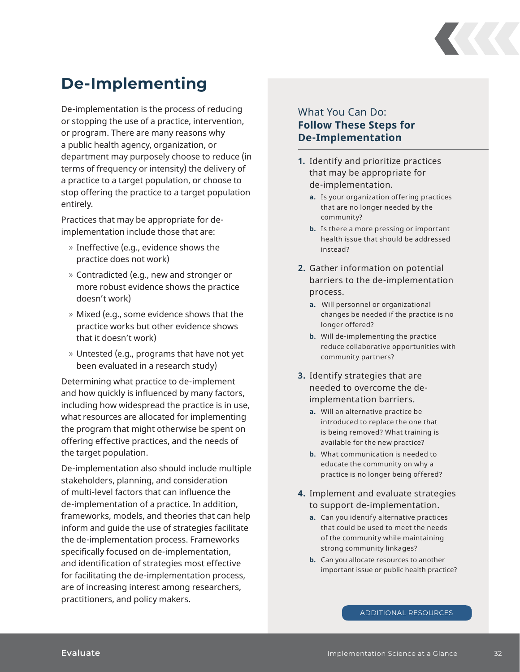

# <span id="page-36-0"></span>**De-Implementing**

De-implementation is the process of reducing or stopping the use of a practice, intervention, or program. There are many reasons why a public health agency, organization, or department may purposely choose to reduce (in terms of frequency or intensity) the delivery of a practice to a target population, or choose to stop offering the practice to a target population entirely.

Practices that may be appropriate for deimplementation include those that are:

- » Ineffective (e.g., evidence shows the practice does not work)
- » Contradicted (e.g., new and stronger or more robust evidence shows the practice doesn't work)
- » Mixed (e.g., some evidence shows that the practice works but other evidence shows that it doesn't work)
- » Untested (e.g., programs that have not yet been evaluated in a research study)

Determining what practice to de-implement and how quickly is influenced by many factors, including how widespread the practice is in use, what resources are allocated for implementing the program that might otherwise be spent on offering effective practices, and the needs of the target population.

De-implementation also should include multiple stakeholders, planning, and consideration of multi-level factors that can influence the de-implementation of a practice. In addition, frameworks, models, and theories that can help inform and guide the use of strategies facilitate the de-implementation process. Frameworks specifically focused on de-implementation, and identification of strategies most effective for facilitating the de-implementation process, are of increasing interest among researchers, practitioners, and policy makers.

#### What You Can Do: **Follow These Steps for De-Implementation**

- **1.** Identify and prioritize practices that may be appropriate for de-implementation.
	- **a.** Is your organization offering practices that are no longer needed by the community?
	- **b.** Is there a more pressing or important health issue that should be addressed instead?
- **2.** Gather information on potential barriers to the de-implementation process.
	- **a.** Will personnel or organizational changes be needed if the practice is no longer offered?
	- **b.** Will de-implementing the practice reduce collaborative opportunities with community partners?
- **3.** Identify strategies that are needed to overcome the deimplementation barriers.
	- **a.** Will an alternative practice be introduced to replace the one that is being removed? What training is available for the new practice?
	- **b.** What communication is needed to educate the community on why a practice is no longer being offered?
- **4.** Implement and evaluate strategies to support de-implementation.
	- **a.** Can you identify alternative practices that could be used to meet the needs of the community while maintaining strong community linkages?
	- **b.** Can you allocate resources to another important issue or public health practice?

[ADDITIONAL RESOURCES](#page-45-0)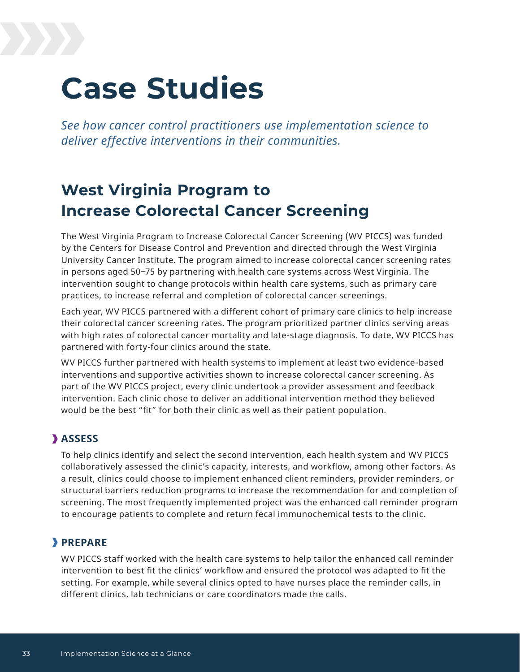<span id="page-37-0"></span>

# **Case Studies**

*See how cancer control practitioners use implementation science to deliver effective interventions in their communities.*

# **West Virginia Program to Increase Colorectal Cancer Screening**

The West Virginia Program to Increase Colorectal Cancer Screening (WV PICCS) was funded by the Centers for Disease Control and Prevention and directed through the West Virginia University Cancer Institute. The program aimed to increase colorectal cancer screening rates in persons aged 50-75 by partnering with health care systems across West Virginia. The intervention sought to change protocols within health care systems, such as primary care practices, to increase referral and completion of colorectal cancer screenings.

Each year, WV PICCS partnered with a different cohort of primary care clinics to help increase their colorectal cancer screening rates. The program prioritized partner clinics serving areas with high rates of colorectal cancer mortality and late-stage diagnosis. To date, WV PICCS has partnered with forty-four clinics around the state.

WV PICCS further partnered with health systems to implement at least two evidence-based interventions and supportive activities shown to increase colorectal cancer screening. As part of the WV PICCS project, every clinic undertook a provider assessment and feedback intervention. Each clinic chose to deliver an additional intervention method they believed would be the best "fit" for both their clinic as well as their patient population.

#### **ASSESS**

To help clinics identify and select the second intervention, each health system and WV PICCS collaboratively assessed the clinic's capacity, interests, and workflow, among other factors. As a result, clinics could choose to implement enhanced client reminders, provider reminders, or structural barriers reduction programs to increase the recommendation for and completion of screening. The most frequently implemented project was the enhanced call reminder program to encourage patients to complete and return fecal immunochemical tests to the clinic.

#### **PREPARE**

WV PICCS staff worked with the health care systems to help tailor the enhanced call reminder intervention to best fit the clinics' workflow and ensured the protocol was adapted to fit the setting. For example, while several clinics opted to have nurses place the reminder calls, in different clinics, lab technicians or care coordinators made the calls.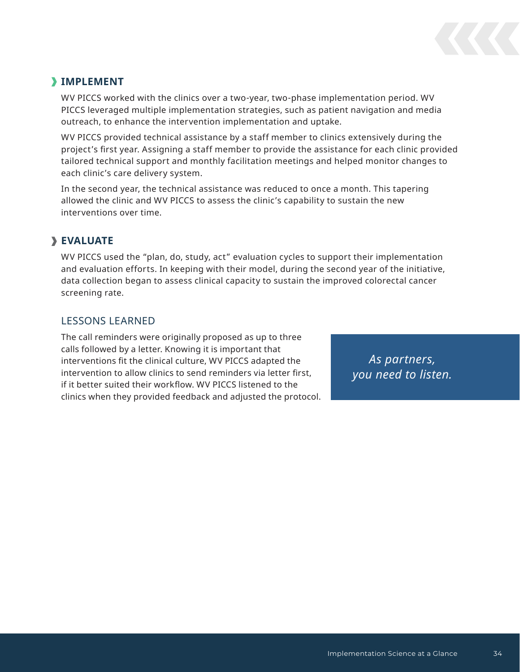

#### **IMPLEMENT**

WV PICCS worked with the clinics over a two-year, two-phase implementation period. WV PICCS leveraged multiple implementation strategies, such as patient navigation and media outreach, to enhance the intervention implementation and uptake.

WV PICCS provided technical assistance by a staff member to clinics extensively during the project's first year. Assigning a staff member to provide the assistance for each clinic provided tailored technical support and monthly facilitation meetings and helped monitor changes to each clinic's care delivery system.

In the second year, the technical assistance was reduced to once a month. This tapering allowed the clinic and WV PICCS to assess the clinic's capability to sustain the new interventions over time.

#### **EVALUATE**

WV PICCS used the "plan, do, study, act" evaluation cycles to support their implementation and evaluation efforts. In keeping with their model, during the second year of the initiative, data collection began to assess clinical capacity to sustain the improved colorectal cancer screening rate.

#### LESSONS LEARNED

The call reminders were originally proposed as up to three calls followed by a letter. Knowing it is important that interventions fit the clinical culture, WV PICCS adapted the intervention to allow clinics to send reminders via letter first, if it better suited their workflow. WV PICCS listened to the clinics when they provided feedback and adjusted the protocol.

*As partners, you need to listen.*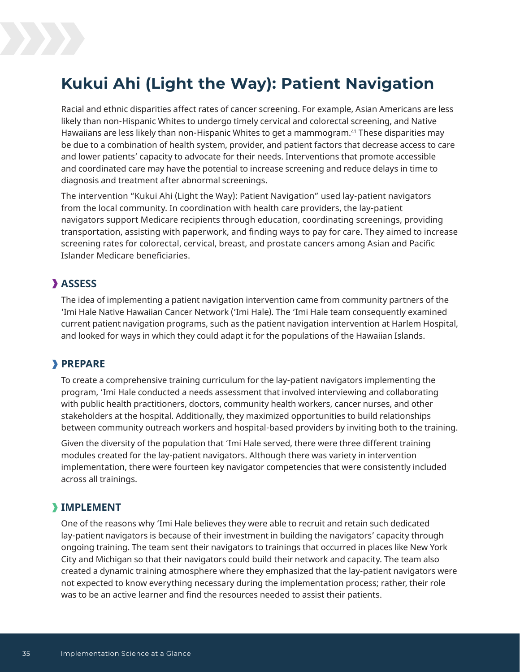<span id="page-39-0"></span>

# **Kukui Ahi (Light the Way): Patient Navigation**

Racial and ethnic disparities affect rates of cancer screening. For example, Asian Americans are less likely than non-Hispanic Whites to undergo timely cervical and colorectal screening, and Native Hawaiians are less likely than non-Hispanic Whites to get a mammogram.<sup>41</sup> These disparities may be due to a combination of health system, provider, and patient factors that decrease access to care and lower patients' capacity to advocate for their needs. Interventions that promote accessible and coordinated care may have the potential to increase screening and reduce delays in time to diagnosis and treatment after abnormal screenings.

The intervention "Kukui Ahi (Light the Way): Patient Navigation" used lay-patient navigators from the local community. In coordination with health care providers, the lay-patient navigators support Medicare recipients through education, coordinating screenings, providing transportation, assisting with paperwork, and finding ways to pay for care. They aimed to increase screening rates for colorectal, cervical, breast, and prostate cancers among Asian and Pacific Islander Medicare beneficiaries.

#### **ASSESS**

The idea of implementing a patient navigation intervention came from community partners of the 'Imi Hale Native Hawaiian Cancer Network ('Imi Hale). The 'Imi Hale team consequently examined current patient navigation programs, such as the patient navigation intervention at Harlem Hospital, and looked for ways in which they could adapt it for the populations of the Hawaiian Islands.

#### **PREPARE**

To create a comprehensive training curriculum for the lay-patient navigators implementing the program, 'Imi Hale conducted a needs assessment that involved interviewing and collaborating with public health practitioners, doctors, community health workers, cancer nurses, and other stakeholders at the hospital. Additionally, they maximized opportunities to build relationships between community outreach workers and hospital-based providers by inviting both to the training.

Given the diversity of the population that 'Imi Hale served, there were three different training modules created for the lay-patient navigators. Although there was variety in intervention implementation, there were fourteen key navigator competencies that were consistently included across all trainings.

#### **IMPLEMENT**

One of the reasons why 'Imi Hale believes they were able to recruit and retain such dedicated lay-patient navigators is because of their investment in building the navigators' capacity through ongoing training. The team sent their navigators to trainings that occurred in places like New York City and Michigan so that their navigators could build their network and capacity. The team also created a dynamic training atmosphere where they emphasized that the lay-patient navigators were not expected to know everything necessary during the implementation process; rather, their role was to be an active learner and find the resources needed to assist their patients.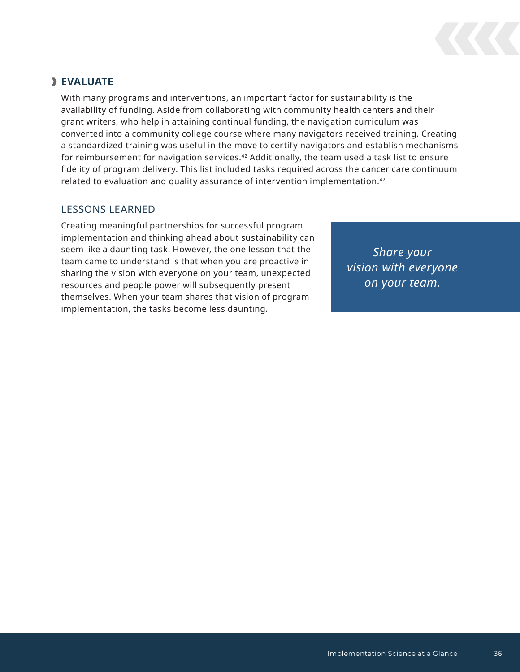

#### **EVALUATE**

With many programs and interventions, an important factor for sustainability is the availability of funding. Aside from collaborating with community health centers and their grant writers, who help in attaining continual funding, the navigation curriculum was converted into a community college course where many navigators received training. Creating a standardized training was useful in the move to certify navigators and establish mechanisms for reimbursement for navigation services.<sup>42</sup> Additionally, the team used a task list to ensure fidelity of program delivery. This list included tasks required across the cancer care continuum related to evaluation and quality assurance of intervention implementation.<sup>42</sup>

#### LESSONS LEARNED

Creating meaningful partnerships for successful program implementation and thinking ahead about sustainability can seem like a daunting task. However, the one lesson that the team came to understand is that when you are proactive in sharing the vision with everyone on your team, unexpected resources and people power will subsequently present themselves. When your team shares that vision of program implementation, the tasks become less daunting.

*Share your vision with everyone on your team.*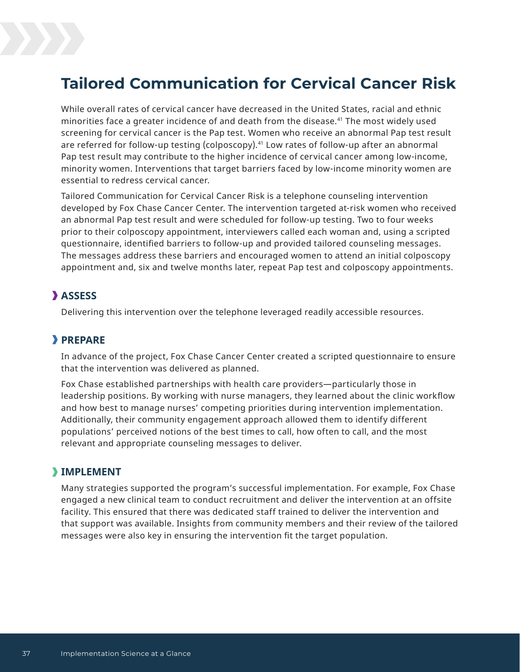<span id="page-41-0"></span>

# **Tailored Communication for Cervical Cancer Risk**

While overall rates of cervical cancer have decreased in the United States, racial and ethnic minorities face a greater incidence of and death from the disease.<sup>41</sup> The most widely used screening for cervical cancer is the Pap test. Women who receive an abnormal Pap test result are referred for follow-up testing (colposcopy).<sup>41</sup> Low rates of follow-up after an abnormal Pap test result may contribute to the higher incidence of cervical cancer among low-income, minority women. Interventions that target barriers faced by low-income minority women are essential to redress cervical cancer.

Tailored Communication for Cervical Cancer Risk is a telephone counseling intervention developed by Fox Chase Cancer Center. The intervention targeted at-risk women who received an abnormal Pap test result and were scheduled for follow-up testing. Two to four weeks prior to their colposcopy appointment, interviewers called each woman and, using a scripted questionnaire, identified barriers to follow-up and provided tailored counseling messages. The messages address these barriers and encouraged women to attend an initial colposcopy appointment and, six and twelve months later, repeat Pap test and colposcopy appointments.

#### **ASSESS**

Delivering this intervention over the telephone leveraged readily accessible resources.

#### **PREPARE**

In advance of the project, Fox Chase Cancer Center created a scripted questionnaire to ensure that the intervention was delivered as planned.

Fox Chase established partnerships with health care providers—particularly those in leadership positions. By working with nurse managers, they learned about the clinic workflow and how best to manage nurses' competing priorities during intervention implementation. Additionally, their community engagement approach allowed them to identify different populations' perceived notions of the best times to call, how often to call, and the most relevant and appropriate counseling messages to deliver.

#### **IMPLEMENT**

Many strategies supported the program's successful implementation. For example, Fox Chase engaged a new clinical team to conduct recruitment and deliver the intervention at an offsite facility. This ensured that there was dedicated staff trained to deliver the intervention and that support was available. Insights from community members and their review of the tailored messages were also key in ensuring the intervention fit the target population.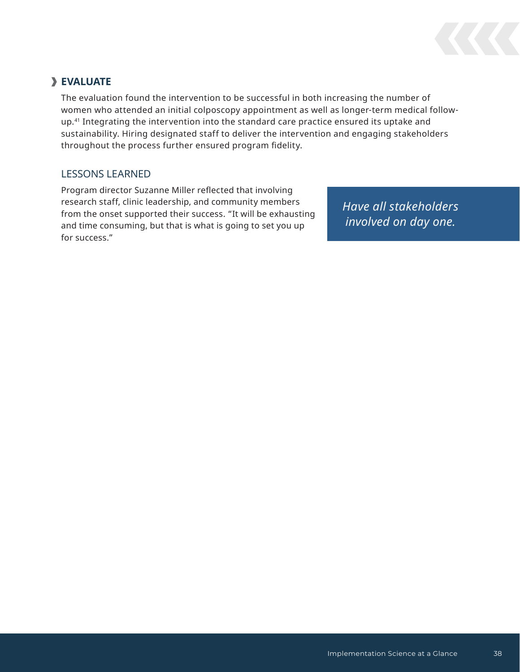

#### **EVALUATE**

The evaluation found the intervention to be successful in both increasing the number of women who attended an initial colposcopy appointment as well as longer-term medical followup.41 Integrating the intervention into the standard care practice ensured its uptake and sustainability. Hiring designated staff to deliver the intervention and engaging stakeholders throughout the process further ensured program fidelity.

#### LESSONS LEARNED

Program director Suzanne Miller reflected that involving research staff, clinic leadership, and community members from the onset supported their success. "It will be exhausting and time consuming, but that is what is going to set you up for success."

*Have all stakeholders involved on day one.*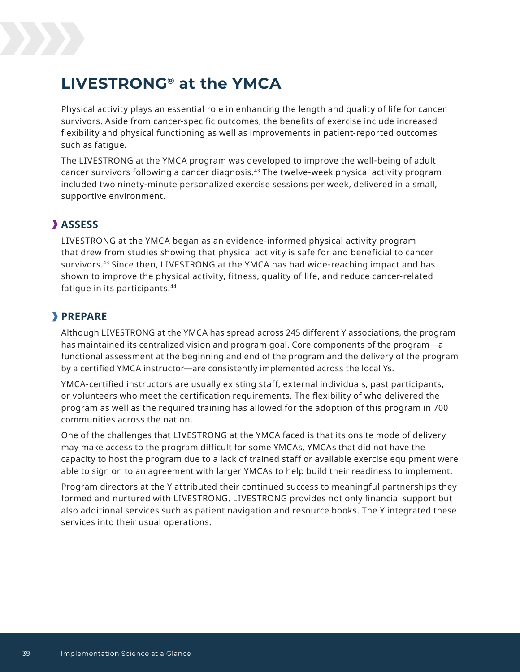<span id="page-43-0"></span>

# **LIVESTRONG® at the YMCA**

Physical activity plays an essential role in enhancing the length and quality of life for cancer survivors. Aside from cancer-specific outcomes, the benefits of exercise include increased flexibility and physical functioning as well as improvements in patient-reported outcomes such as fatigue.

The LIVESTRONG at the YMCA program was developed to improve the well-being of adult cancer survivors following a cancer diagnosis.43 The twelve-week physical activity program included two ninety-minute personalized exercise sessions per week, delivered in a small, supportive environment.

#### **ASSESS**

LIVESTRONG at the YMCA began as an evidence-informed physical activity program that drew from studies showing that physical activity is safe for and beneficial to cancer survivors.43 Since then, LIVESTRONG at the YMCA has had wide-reaching impact and has shown to improve the physical activity, fitness, quality of life, and reduce cancer-related fatigue in its participants.<sup>44</sup>

#### **PREPARE**

Although LIVESTRONG at the YMCA has spread across 245 different Y associations, the program has maintained its centralized vision and program goal. Core components of the program—a functional assessment at the beginning and end of the program and the delivery of the program by a certified YMCA instructor—are consistently implemented across the local Ys.

YMCA-certified instructors are usually existing staff, external individuals, past participants, or volunteers who meet the certification requirements. The flexibility of who delivered the program as well as the required training has allowed for the adoption of this program in 700 communities across the nation.

One of the challenges that LIVESTRONG at the YMCA faced is that its onsite mode of delivery may make access to the program difficult for some YMCAs. YMCAs that did not have the capacity to host the program due to a lack of trained staff or available exercise equipment were able to sign on to an agreement with larger YMCAs to help build their readiness to implement.

Program directors at the Y attributed their continued success to meaningful partnerships they formed and nurtured with LIVESTRONG. LIVESTRONG provides not only financial support but also additional services such as patient navigation and resource books. The Y integrated these services into their usual operations.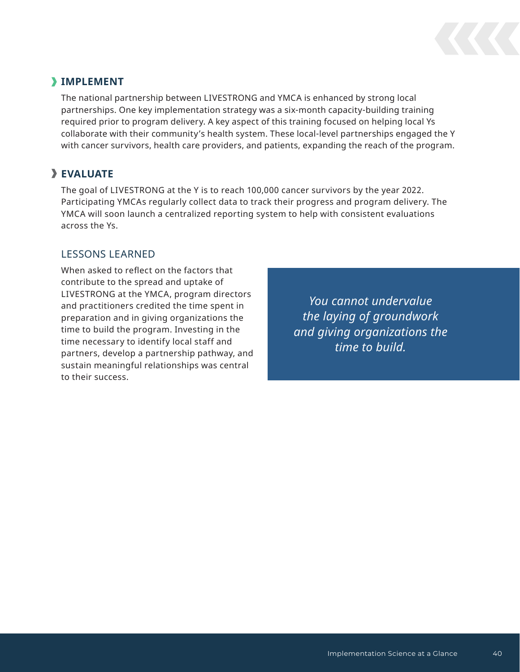

#### **IMPLEMENT**

The national partnership between LIVESTRONG and YMCA is enhanced by strong local partnerships. One key implementation strategy was a six-month capacity-building training required prior to program delivery. A key aspect of this training focused on helping local Ys collaborate with their community's health system. These local-level partnerships engaged the Y with cancer survivors, health care providers, and patients, expanding the reach of the program.

#### **EVALUATE**

The goal of LIVESTRONG at the Y is to reach 100,000 cancer survivors by the year 2022. Participating YMCAs regularly collect data to track their progress and program delivery. The YMCA will soon launch a centralized reporting system to help with consistent evaluations across the Ys.

#### LESSONS LEARNED

When asked to reflect on the factors that contribute to the spread and uptake of LIVESTRONG at the YMCA, program directors and practitioners credited the time spent in preparation and in giving organizations the time to build the program. Investing in the time necessary to identify local staff and partners, develop a partnership pathway, and sustain meaningful relationships was central to their success.

*You cannot undervalue the laying of groundwork and giving organizations the time to build.*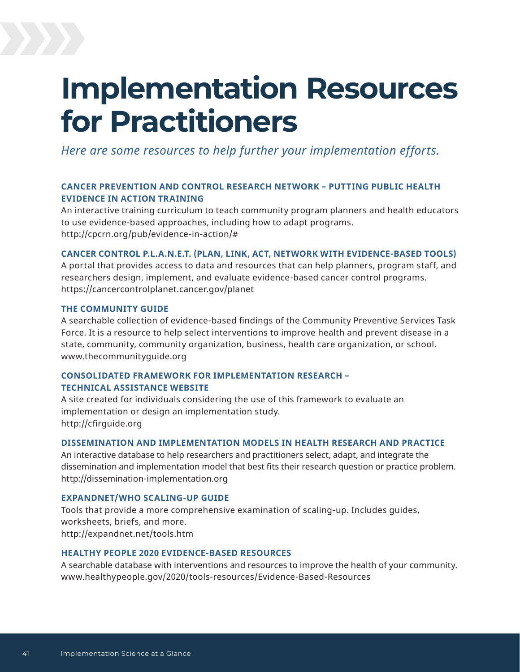<span id="page-45-0"></span>

# **Implementation Resources for Practitioners**

*Here are some resources to help further your implementation efforts.* 

#### **CANCER PREVENTION AND CONTROL RESEARCH NETWORK – PUTTING PUBLIC HEALTH EVIDENCE IN ACTION TRAINING**

An interactive training curriculum to teach community program planners and health educators to use evidence-based approaches, including how to adapt programs. <http://cpcrn.org/pub/evidence-in-action/#>

#### **CANCER CONTROL P.L.A.N.E.T. (PLAN, LINK, ACT, NETWORK WITH EVIDENCE-BASED TOOLS)**

A portal that provides access to data and resources that can help planners, program staff, and researchers design, implement, and evaluate evidence-based cancer control programs. <https://cancercontrolplanet.cancer.gov/planet>

#### **THE COMMUNITY GUIDE**

A searchable collection of evidence-based findings of the Community Preventive Services Task Force. It is a resource to help select interventions to improve health and prevent disease in a state, community, community organization, business, health care organization, or school. [www.thecommunityguide.org](http://www.thecommunityguide.org)

#### **CONSOLIDATED FRAMEWORK FOR IMPLEMENTATION RESEARCH – TECHNICAL ASSISTANCE WEBSITE**

A site created for individuals considering the use of this framework to evaluate an implementation or design an implementation study. <http://cfirguide.org>

#### **DISSEMINATION AND IMPLEMENTATION MODELS IN HEALTH RESEARCH AND PRACTICE**

An interactive database to help researchers and practitioners select, adapt, and integrate the dissemination and implementation model that best fits their research question or practice problem. <http://dissemination-implementation.org>

#### **EXPANDNET/WHO SCALING-UP GUIDE**

Tools that provide a more comprehensive examination of scaling-up. Includes guides, worksheets, briefs, and more. <http://expandnet.net/tools.htm>

#### **HEALTHY PEOPLE 2020 EVIDENCE-BASED RESOURCES**

A searchable database with interventions and resources to improve the health of your community. [www.healthypeople.gov/2020/tools-resources/Evidence-Based-Resources](http://www.healthypeople.gov/2020/tools-resources/Evidence-Based-Resources)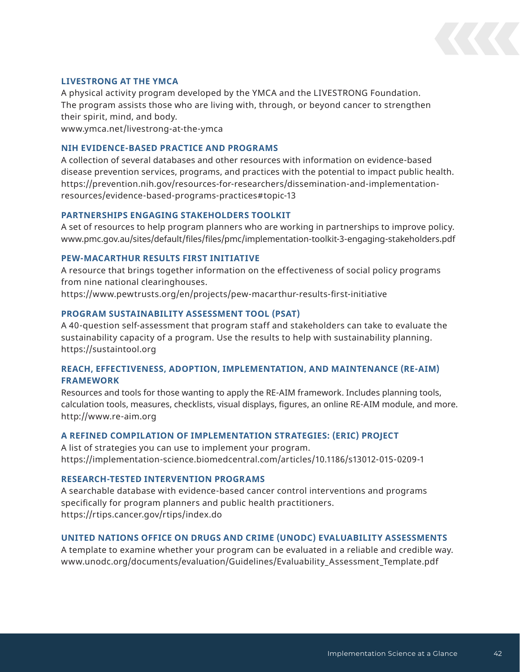

#### **LIVESTRONG AT THE YMCA**

A physical activity program developed by the YMCA and the LIVESTRONG Foundation. The program assists those who are living with, through, or beyond cancer to strengthen their spirit, mind, and body.

[www.ymca.net/livestrong-at-the-ymca](http://www.ymca.net/livestrong-at-the-ymca)

#### **NIH EVIDENCE-BASED PRACTICE AND PROGRAMS**

A collection of several databases and other resources with information on evidence-based disease prevention services, programs, and practices with the potential to impact public health. [https://prevention.nih.gov/resources-for-researchers/dissemination-and-implementation](https://prevention.nih.gov/resources-for-researchers/dissemination-and-implementationresources/evidence-based-programs-practices#topic-13)resources/evidence-based-programs-practices#topic-13

#### **PARTNERSHIPS ENGAGING STAKEHOLDERS TOOLKIT**

A set of resources to help program planners who are working in partnerships to improve policy. [www.pmc.gov.au/sites/default/files/files/pmc/implementation-toolkit-3-engaging-stakeholders.pdf](http://www.pmc.gov.au/sites/default/files/files/pmc/implementation-toolkit-3-engaging-stakeholders.pdf)

#### **PEW-MACARTHUR RESULTS FIRST INITIATIVE**

A resource that brings together information on the effectiveness of social policy programs from nine national clearinghouses.

<https://www.pewtrusts.org/en/projects/pew-macarthur-results-first-initiative>

#### **PROGRAM SUSTAINABILITY ASSESSMENT TOOL (PSAT)**

A 40-question self-assessment that program staff and stakeholders can take to evaluate the sustainability capacity of a program. Use the results to help with sustainability planning. <https://sustaintool.org>

#### **REACH, EFFECTIVENESS, ADOPTION, IMPLEMENTATION, AND MAINTENANCE (RE-AIM) FRAMEWORK**

Resources and tools for those wanting to apply the RE-AIM framework. Includes planning tools, calculation tools, measures, checklists, visual displays, figures, an online RE-AIM module, and more. <http://www.re-aim.org>

#### **A REFINED COMPILATION OF IMPLEMENTATION STRATEGIES: (ERIC) PROJECT**

A list of strategies you can use to implement your program. <https://implementation-science.biomedcentral.com/articles/10.1186/s13012-015-0209-1>

#### **RESEARCH-TESTED INTERVENTION PROGRAMS**

A searchable database with evidence-based cancer control interventions and programs specifically for program planners and public health practitioners. <https://rtips.cancer.gov/rtips/index.do>

#### **UNITED NATIONS OFFICE ON DRUGS AND CRIME (UNODC) EVALUABILITY ASSESSMENTS**

A template to examine whether your program can be evaluated in a reliable and credible way. [www.unodc.org/documents/evaluation/Guidelines/Evaluability\\_Assessment\\_Template.pdf](http://www.unodc.org/documents/evaluation/Guidelines/Evaluability_Assessment_Template.pdf)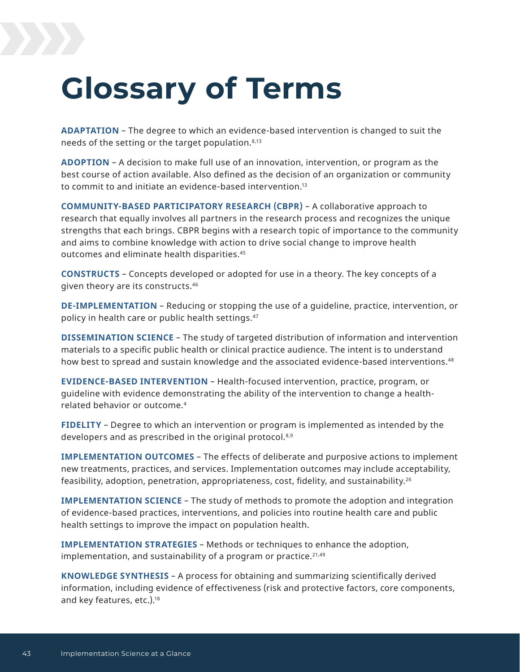<span id="page-47-0"></span>

# **Glossary of Terms**

**ADAPTATION** – The degree to which an evidence-based intervention is changed to suit the needs of the setting or the target population.8,13

**ADOPTION** – A decision to make full use of an innovation, intervention, or program as the best course of action available. Also defined as the decision of an organization or community to commit to and initiate an evidence-based intervention.<sup>13</sup>

**COMMUNITY-BASED PARTICIPATORY RESEARCH (CBPR)** – A collaborative approach to research that equally involves all partners in the research process and recognizes the unique strengths that each brings. CBPR begins with a research topic of importance to the community and aims to combine knowledge with action to drive social change to improve health outcomes and eliminate health disparities.<sup>45</sup>

**CONSTRUCTS** – Concepts developed or adopted for use in a theory. The key concepts of a given theory are its constructs.<sup>46</sup>

**DE-IMPLEMENTATION** – Reducing or stopping the use of a guideline, practice, intervention, or policy in health care or public health settings.<sup>47</sup>

**DISSEMINATION SCIENCE** – The study of targeted distribution of information and intervention materials to a specific public health or clinical practice audience. The intent is to understand how best to spread and sustain knowledge and the associated evidence-based interventions.<sup>48</sup>

**EVIDENCE-BASED INTERVENTION** – Health-focused intervention, practice, program, or guideline with evidence demonstrating the ability of the intervention to change a healthrelated behavior or outcome.<sup>4</sup>

**FIDELITY** – Degree to which an intervention or program is implemented as intended by the developers and as prescribed in the original protocol.<sup>8,9</sup>

**IMPLEMENTATION OUTCOMES** – The effects of deliberate and purposive actions to implement new treatments, practices, and services. Implementation outcomes may include acceptability, feasibility, adoption, penetration, appropriateness, cost, fidelity, and sustainability.<sup>26</sup>

**IMPLEMENTATION SCIENCE** – The study of methods to promote the adoption and integration of evidence-based practices, interventions, and policies into routine health care and public health settings to improve the impact on population health.

**IMPLEMENTATION STRATEGIES** – Methods or techniques to enhance the adoption, implementation, and sustainability of a program or practice. $21,49$ 

**KNOWLEDGE SYNTHESIS** – A process for obtaining and summarizing scientifically derived information, including evidence of effectiveness (risk and protective factors, core components, and key features, etc.).<sup>18</sup>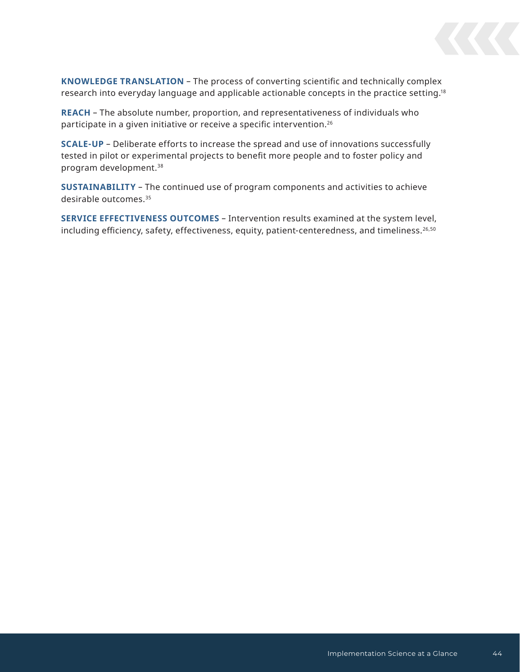

**KNOWLEDGE TRANSLATION** – The process of converting scientific and technically complex research into everyday language and applicable actionable concepts in the practice setting.<sup>18</sup>

**REACH** – The absolute number, proportion, and representativeness of individuals who participate in a given initiative or receive a specific intervention.<sup>26</sup>

**SCALE-UP** – Deliberate efforts to increase the spread and use of innovations successfully tested in pilot or experimental projects to benefit more people and to foster policy and program development.38

**SUSTAINABILITY** – The continued use of program components and activities to achieve desirable outcomes.35

**SERVICE EFFECTIVENESS OUTCOMES** – Intervention results examined at the system level, including efficiency, safety, effectiveness, equity, patient-centeredness, and timeliness.<sup>26,50</sup>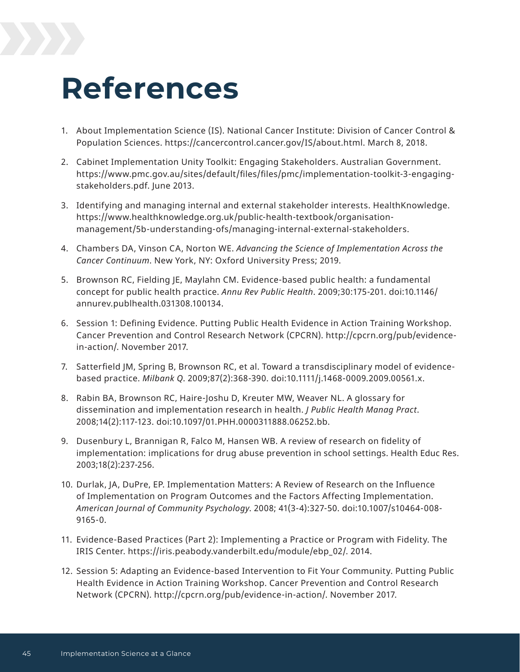<span id="page-49-0"></span>

# **References**

- 1. About Implementation Science (IS). National Cancer Institute: Division of Cancer Control & Population Sciences. [https://cancercontrol.cancer.gov/IS/about.html.](https://cancercontrol.cancer.gov/IS/about.html) March 8, 2018.
- 2. Cabinet Implementation Unity Toolkit: Engaging Stakeholders. Australian Government. [https://www.pmc.gov.au/sites/default/files/files/pmc/implementation-toolkit-3-engaging](https://www.pmc.gov.au/sites/default/files/files/pmc/implementation-toolkit-3-engagingstakeholders.pdf)stakeholders.pdf. June 2013.
- 3. Identifying and managing internal and external stakeholder interests. HealthKnowledge. https://www.healthknowledge.org.uk/public-health-textbook/organisation[management/5b-understanding-ofs/managing-internal-external-stakeholders.](https://www.healthknowledge.org.uk/public-health-textbook/organisationmanagement//5b-understanding-ofs/managing-internal-external-stakeholders)
- 4. Chambers DA, Vinson CA, Norton WE. *Advancing the Science of Implementation Across the Cancer Continuum*. New York, NY: Oxford University Press; 2019.
- 5. Brownson RC, Fielding JE, Maylahn CM. Evidence-based public health: a fundamental concept for public health practice. *Annu Rev Public Health*. 2009;30:175-201. doi:10.1146/ annurev.publhealth.031308.100134.
- 6. Session 1: Defining Evidence. Putting Public Health Evidence in Action Training Workshop. [Cancer Prevention and Control Research Network \(CPCRN\). http://cpcrn.org/pub/evidence](http://cpcrn.org/pub/evidencein-action/)in-action/. November 2017.
- 7. Satterfield JM, Spring B, Brownson RC, et al. Toward a transdisciplinary model of evidencebased practice. *Milbank Q*. 2009;87(2):368-390. doi:10.1111/j.1468-0009.2009.00561.x.
- 8. Rabin BA, Brownson RC, Haire-Joshu D, Kreuter MW, Weaver NL. A glossary for dissemination and implementation research in health. *J Public Health Manag Pract*. 2008;14(2):117-123. doi:10.1097/01.PHH.0000311888.06252.bb.
- 9. Dusenbury L, Brannigan R, Falco M, Hansen WB. A review of research on fidelity of implementation: implications for drug abuse prevention in school settings. Health Educ Res. 2003;18(2):237-256.
- 10. Durlak, JA, DuPre, EP. Implementation Matters: A Review of Research on the Influence of Implementation on Program Outcomes and the Factors Affecting Implementation. *American Journal of Community Psychology*. 2008; 41(3-4):327-50. doi:10.1007/s10464-008- 9165-0.
- 11. Evidence-Based Practices (Part 2): Implementing a Practice or Program with Fidelity. The IRIS Center. [https://iris.peabody.vanderbilt.edu/module/ebp\\_02/.](https://iris.peabody.vanderbilt.edu/module/ebp_02/) 2014.
- 12. Session 5: Adapting an Evidence-based Intervention to Fit Your Community. Putting Public Health Evidence in Action Training Workshop. Cancer Prevention and Control Research Network (CPCRN). [http://cpcrn.org/pub/evidence-in-action/.](http://cpcrn.org/pub/evidence-in-action/) November 2017.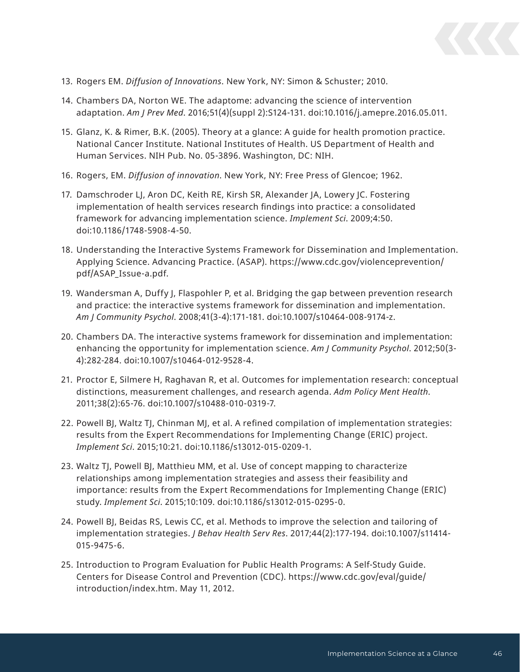

- 13. Rogers EM. *Diffusion of Innovations*. New York, NY: Simon & Schuster; 2010.
- 14. Chambers DA, Norton WE. The adaptome: advancing the science of intervention adaptation. *Am J Prev Med*. 2016;51(4)(suppl 2):S124-131. doi:10.1016/j.amepre.2016.05.011.
- 15. Glanz, K. & Rimer, B.K. (2005). Theory at a glance: A guide for health promotion practice. National Cancer Institute. National Institutes of Health. US Department of Health and Human Services. NIH Pub. No. 05-3896. Washington, DC: NIH.
- 16. Rogers, EM. *Diffusion of innovation*. New York, NY: Free Press of Glencoe; 1962.
- 17. Damschroder LJ, Aron DC, Keith RE, Kirsh SR, Alexander JA, Lowery JC. Fostering implementation of health services research findings into practice: a consolidated framework for advancing implementation science. *Implement Sci*. 2009;4:50. doi:10.1186/1748-5908-4-50.
- 18. Understanding the Interactive Systems Framework for Dissemination and Implementation. Applying Science. Advancing Practice. (ASAP). [https://www.cdc.gov/violenceprevention/](https://www.cdc.gov/violenceprevention/pdf/ASAP_Issue-a.pdf) [pdf/ASAP\\_Issue-a.pdf](https://www.cdc.gov/violenceprevention/pdf/ASAP_Issue-a.pdf).
- 19. Wandersman A, Duffy J, Flaspohler P, et al. Bridging the gap between prevention research and practice: the interactive systems framework for dissemination and implementation. *Am J Community Psychol*. 2008;41(3-4):171-181. doi:10.1007/s10464-008-9174-z.
- 20. Chambers DA. The interactive systems framework for dissemination and implementation: enhancing the opportunity for implementation science. *Am J Community Psychol*. 2012;50(3- 4):282-284. doi:10.1007/s10464-012-9528-4.
- 21. Proctor E, Silmere H, Raghavan R, et al. Outcomes for implementation research: conceptual distinctions, measurement challenges, and research agenda. *Adm Policy Ment Health*. 2011;38(2):65-76. doi:10.1007/s10488-010-0319-7.
- 22. Powell BJ, Waltz TJ, Chinman MJ, et al. A refined compilation of implementation strategies: results from the Expert Recommendations for Implementing Change (ERIC) project. *Implement Sci*. 2015;10:21. doi:10.1186/s13012-015-0209-1.
- 23. Waltz TJ, Powell BJ, Matthieu MM, et al. Use of concept mapping to characterize relationships among implementation strategies and assess their feasibility and importance: results from the Expert Recommendations for Implementing Change (ERIC) study. *Implement Sci*. 2015;10:109. doi:10.1186/s13012-015-0295-0.
- 24. Powell BJ, Beidas RS, Lewis CC, et al. Methods to improve the selection and tailoring of implementation strategies. *J Behav Health Serv Res*. 2017;44(2):177-194. doi:10.1007/s11414- 015-9475-6.
- 25. Introduction to Program Evaluation for Public Health Programs: A Self-Study Guide. Centers for Disease Control and Prevention (CDC). [https://www.cdc.gov/eval/guide/](https://www.cdc.gov/eval/guide/introduction/index.htm) [introduction/index.htm](https://www.cdc.gov/eval/guide/introduction/index.htm). May 11, 2012.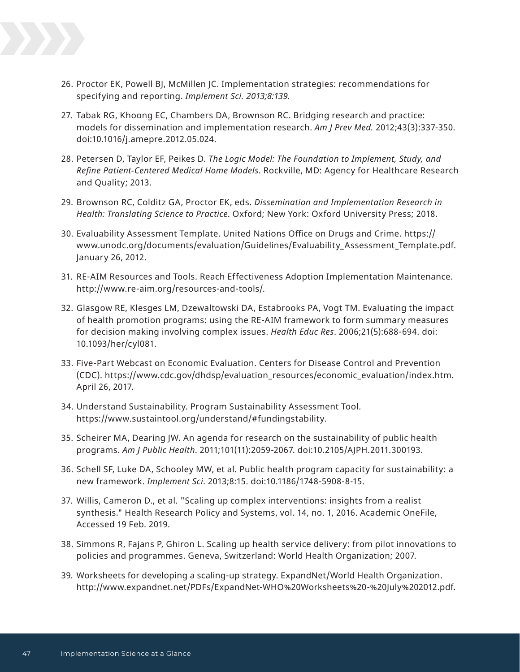

- 26. Proctor EK, Powell BJ, McMillen JC. Implementation strategies: recommendations for specifying and reporting. *Implement Sci. 2013;8:139.*
- 27. Tabak RG, Khoong EC, Chambers DA, Brownson RC. Bridging research and practice: models for dissemination and implementation research. *Am J Prev Med.* 2012;43(3):337-350. doi:10.1016/j.amepre.2012.05.024.
- 28. Petersen D, Taylor EF, Peikes D. *The Logic Model: The Foundation to Implement, Study, and Refine Patient-Centered Medical Home Models*. Rockville, MD: Agency for Healthcare Research and Quality; 2013.
- 29. Brownson RC, Colditz GA, Proctor EK, eds. *Dissemination and Implementation Research in Health: Translating Science to Practice*. Oxford; New York: Oxford University Press; 2018.
- 30. Evaluability Assessment Template. United Nations Office on Drugs and Crime. https:// www.unodc.org/documents/evaluation/Guidelines/Evaluability\_Assessment\_Template.pdf. January 26, 2012.
- 31. RE-AIM Resources and Tools. Reach Effectiveness Adoption Implementation Maintenance. [http://www.re-aim.org/resources-and-tools/.](http://www.re-aim.org/resources-and-tools/)
- 32. Glasgow RE, Klesges LM, Dzewaltowski DA, Estabrooks PA, Vogt TM. Evaluating the impact of health promotion programs: using the RE-AIM framework to form summary measures for decision making involving complex issues. *Health Educ Res*. 2006;21(5):688-694. doi: 10.1093/her/cyl081.
- 33. Five-Part Webcast on Economic Evaluation. Centers for Disease Control and Prevention (CDC). https://www.cdc.gov/dhdsp/evaluation\_resources/economic\_evaluation/index.htm. April 26, 2017.
- 34. Understand Sustainability. Program Sustainability Assessment Tool. https://www.sustaintool.org/understand/#fundingstability.
- 35. Scheirer MA, Dearing JW. An agenda for research on the sustainability of public health programs. *Am J Public Health*. 2011;101(11):2059-2067. doi:10.2105/AJPH.2011.300193.
- 36. Schell SF, Luke DA, Schooley MW, et al. Public health program capacity for sustainability: a new framework. *Implement Sci*. 2013;8:15. doi:10.1186/1748-5908-8-15.
- 37. Willis, Cameron D., et al. "Scaling up complex interventions: insights from a realist synthesis." Health Research Policy and Systems, vol. 14, no. 1, 2016. Academic OneFile, Accessed 19 Feb. 2019.
- 38. Simmons R, Fajans P, Ghiron L. Scaling up health service delivery: from pilot innovations to policies and programmes. Geneva, Switzerland: World Health Organization; 2007.
- 39. Worksheets for developing a scaling-up strategy. ExpandNet/World Health Organization. [http://www.expandnet.net/PDFs/ExpandNet-WHO%20Worksheets%20-%20July%202012.pdf.](http://www.expandnet.net/PDFs/ExpandNet-WHO%20Worksheets%20-%20July%202012.pdf)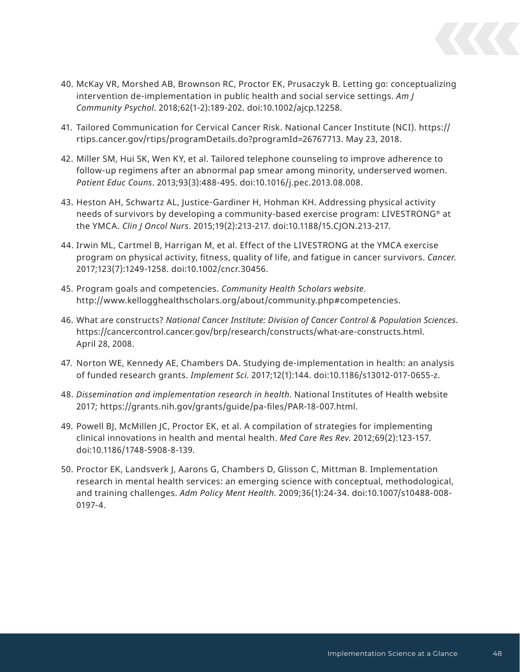

- 40. McKay VR, Morshed AB, Brownson RC, Proctor EK, Prusaczyk B. Letting go: conceptualizing intervention de-implementation in public health and social service settings. *Am J Community Psychol*. 2018;62(1-2):189-202. doi:10.1002/ajcp.12258.
- 41. Tailored Communication for Cervical Cancer Risk. National Cancer Institute (NCI). https:// rtips.cancer.gov/rtips/programDetails.do?programId=26767713. May 23, 2018.
- 42. Miller SM, Hui SK, Wen KY, et al. Tailored telephone counseling to improve adherence to follow-up regimens after an abnormal pap smear among minority, underserved women. *Patient Educ Couns*. 2013;93(3):488-495. doi:10.1016/j.pec.2013.08.008.
- 43. Heston AH, Schwartz AL, Justice-Gardiner H, Hohman KH. Addressing physical activity needs of survivors by developing a community-based exercise program: LIVESTRONG® at the YMCA. *Clin J Oncol Nurs*. 2015;19(2):213-217. doi:10.1188/15.CJON.213-217.
- 44. Irwin ML, Cartmel B, Harrigan M, et al. Effect of the LIVESTRONG at the YMCA exercise program on physical activity, fitness, quality of life, and fatigue in cancer survivors. *Cancer.* 2017;123(7):1249-1258. doi:10.1002/cncr.30456.
- 45. Program goals and competencies. *Community Health Scholars website*. [http://www.kellogghealthscholars.org/about/community.php#competencies.](http://www.kellogghealthscholars.org/about/community.php#competencies)
- 46. What are constructs? *National Cancer Institute: Division of Cancer Control & Population Sciences*. [https://cancercontrol.cancer.gov/brp/research/constructs/what-are-constructs.html.](https://cancercontrol.cancer.gov/brp/research/constructs/what-are-constructs.html) April 28, 2008.
- 47. Norton WE, Kennedy AE, Chambers DA. Studying de-implementation in health: an analysis of funded research grants. *Implement Sci*. 2017;12(1):144. doi:10.1186/s13012-017-0655-z.
- 48. *Dissemination and implementation research in health*. National Institutes of Health website 2017; [https://grants.nih.gov/grants/guide/pa-files/PAR-18-007.html.](https://grants.nih.gov/grants/guide/pa-files/PAR-18-007.html)
- 49. Powell BJ, McMillen JC, Proctor EK, et al. A compilation of strategies for implementing clinical innovations in health and mental health. *Med Care Res Rev*. 2012;69(2):123-157. doi:10.1186/1748-5908-8-139.
- 50. Proctor EK, Landsverk J, Aarons G, Chambers D, Glisson C, Mittman B. Implementation research in mental health services: an emerging science with conceptual, methodological, and training challenges. *Adm Policy Ment Health*. 2009;36(1):24-34. doi:10.1007/s10488-008- 0197-4.